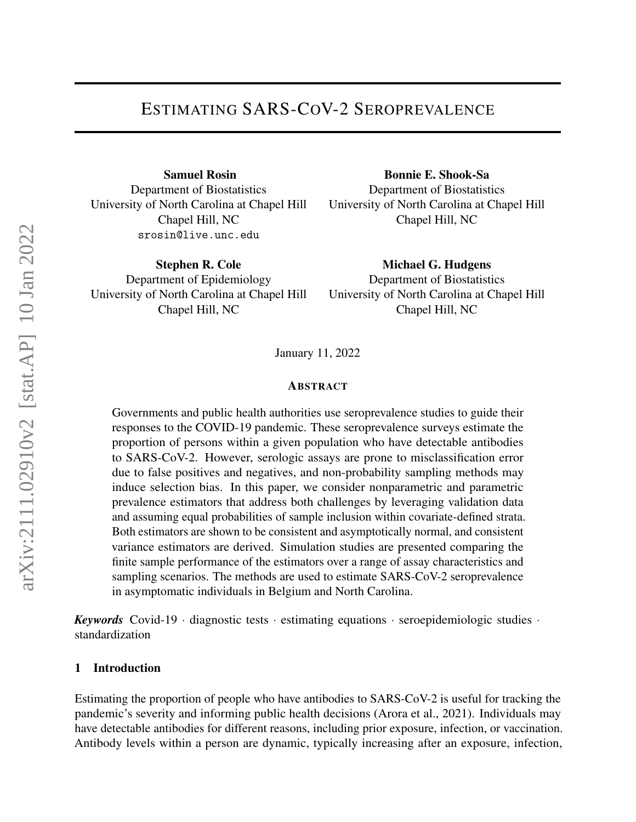Samuel Rosin Department of Biostatistics University of North Carolina at Chapel Hill Chapel Hill, NC srosin@live.unc.edu

Stephen R. Cole Department of Epidemiology University of North Carolina at Chapel Hill Chapel Hill, NC

Bonnie E. Shook-Sa Department of Biostatistics University of North Carolina at Chapel Hill Chapel Hill, NC

Michael G. Hudgens Department of Biostatistics University of North Carolina at Chapel Hill Chapel Hill, NC

January 11, 2022

#### ABSTRACT

Governments and public health authorities use seroprevalence studies to guide their responses to the COVID-19 pandemic. These seroprevalence surveys estimate the proportion of persons within a given population who have detectable antibodies to SARS-CoV-2. However, serologic assays are prone to misclassification error due to false positives and negatives, and non-probability sampling methods may induce selection bias. In this paper, we consider nonparametric and parametric prevalence estimators that address both challenges by leveraging validation data and assuming equal probabilities of sample inclusion within covariate-defined strata. Both estimators are shown to be consistent and asymptotically normal, and consistent variance estimators are derived. Simulation studies are presented comparing the finite sample performance of the estimators over a range of assay characteristics and sampling scenarios. The methods are used to estimate SARS-CoV-2 seroprevalence in asymptomatic individuals in Belgium and North Carolina.

*Keywords* Covid-19 · diagnostic tests · estimating equations · seroepidemiologic studies · standardization

#### 1 Introduction

Estimating the proportion of people who have antibodies to SARS-CoV-2 is useful for tracking the pandemic's severity and informing public health decisions [\(Arora et al., 2021\)](#page-14-0). Individuals may have detectable antibodies for different reasons, including prior exposure, infection, or vaccination. Antibody levels within a person are dynamic, typically increasing after an exposure, infection,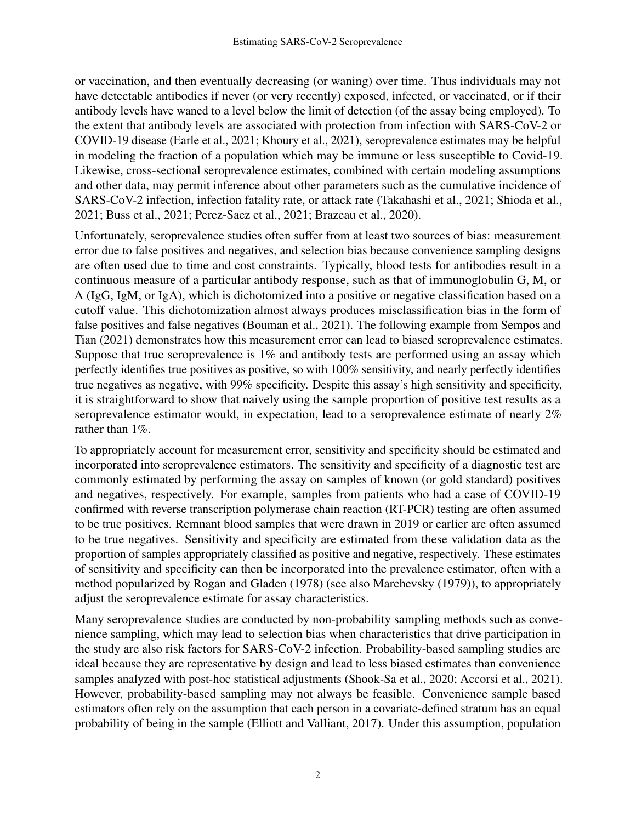or vaccination, and then eventually decreasing (or waning) over time. Thus individuals may not have detectable antibodies if never (or very recently) exposed, infected, or vaccinated, or if their antibody levels have waned to a level below the limit of detection (of the assay being employed). To the extent that antibody levels are associated with protection from infection with SARS-CoV-2 or COVID-19 disease [\(Earle et al., 2021;](#page-15-0) [Khoury et al., 2021\)](#page-15-1), seroprevalence estimates may be helpful in modeling the fraction of a population which may be immune or less susceptible to Covid-19. Likewise, cross-sectional seroprevalence estimates, combined with certain modeling assumptions and other data, may permit inference about other parameters such as the cumulative incidence of SARS-CoV-2 infection, infection fatality rate, or attack rate [\(Takahashi et al., 2021;](#page-16-0) [Shioda et al.,](#page-16-1) [2021;](#page-16-1) [Buss et al., 2021;](#page-14-1) [Perez-Saez et al., 2021;](#page-16-2) [Brazeau et al., 2020\)](#page-14-2).

Unfortunately, seroprevalence studies often suffer from at least two sources of bias: measurement error due to false positives and negatives, and selection bias because convenience sampling designs are often used due to time and cost constraints. Typically, blood tests for antibodies result in a continuous measure of a particular antibody response, such as that of immunoglobulin G, M, or A (IgG, IgM, or IgA), which is dichotomized into a positive or negative classification based on a cutoff value. This dichotomization almost always produces misclassification bias in the form of false positives and false negatives [\(Bouman et al., 2021\)](#page-14-3). The following example from Sempos and Tian (2021) demonstrates how this measurement error can lead to biased seroprevalence estimates. Suppose that true seroprevalence is  $1\%$  and antibody tests are performed using an assay which perfectly identifies true positives as positive, so with 100% sensitivity, and nearly perfectly identifies true negatives as negative, with 99% specificity. Despite this assay's high sensitivity and specificity, it is straightforward to show that naively using the sample proportion of positive test results as a seroprevalence estimator would, in expectation, lead to a seroprevalence estimate of nearly 2% rather than 1%.

To appropriately account for measurement error, sensitivity and specificity should be estimated and incorporated into seroprevalence estimators. The sensitivity and specificity of a diagnostic test are commonly estimated by performing the assay on samples of known (or gold standard) positives and negatives, respectively. For example, samples from patients who had a case of COVID-19 confirmed with reverse transcription polymerase chain reaction (RT-PCR) testing are often assumed to be true positives. Remnant blood samples that were drawn in 2019 or earlier are often assumed to be true negatives. Sensitivity and specificity are estimated from these validation data as the proportion of samples appropriately classified as positive and negative, respectively. These estimates of sensitivity and specificity can then be incorporated into the prevalence estimator, often with a method popularized by [Rogan and Gladen](#page-16-3) [\(1978\)](#page-16-3) (see also [Marchevsky](#page-16-4) [\(1979\)](#page-16-4)), to appropriately adjust the seroprevalence estimate for assay characteristics.

Many seroprevalence studies are conducted by non-probability sampling methods such as convenience sampling, which may lead to selection bias when characteristics that drive participation in the study are also risk factors for SARS-CoV-2 infection. Probability-based sampling studies are ideal because they are representative by design and lead to less biased estimates than convenience samples analyzed with post-hoc statistical adjustments [\(Shook-Sa et al., 2020;](#page-16-5) [Accorsi et al., 2021\)](#page-14-4). However, probability-based sampling may not always be feasible. Convenience sample based estimators often rely on the assumption that each person in a covariate-defined stratum has an equal probability of being in the sample [\(Elliott and Valliant, 2017\)](#page-15-2). Under this assumption, population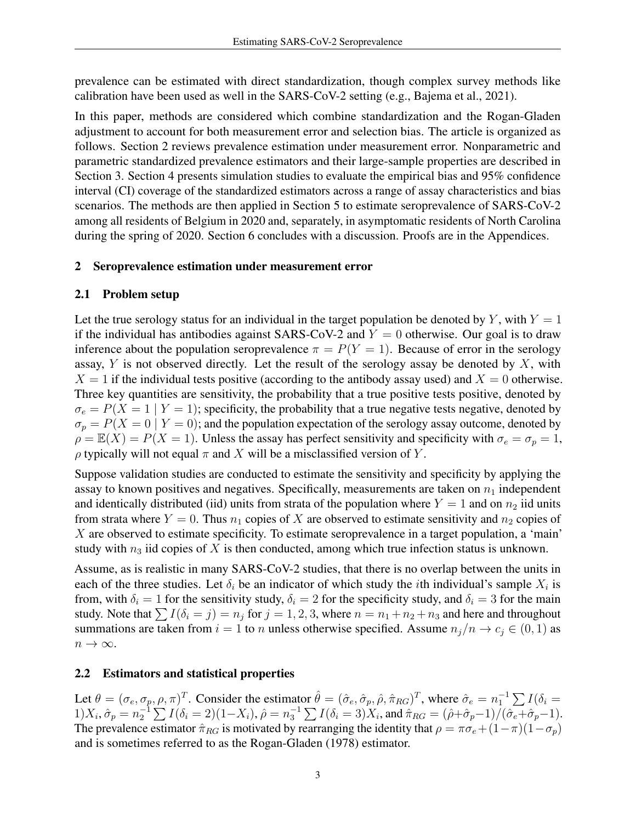prevalence can be estimated with direct standardization, though complex survey methods like calibration have been used as well in the SARS-CoV-2 setting (e.g., [Bajema et al., 2021\)](#page-14-5).

In this paper, methods are considered which combine standardization and the Rogan-Gladen adjustment to account for both measurement error and selection bias. The article is organized as follows. Section [2](#page-2-0) reviews prevalence estimation under measurement error. Nonparametric and parametric standardized prevalence estimators and their large-sample properties are described in Section [3.](#page-3-0) Section [4](#page-5-0) presents simulation studies to evaluate the empirical bias and 95% confidence interval (CI) coverage of the standardized estimators across a range of assay characteristics and bias scenarios. The methods are then applied in Section [5](#page-9-0) to estimate seroprevalence of SARS-CoV-2 among all residents of Belgium in 2020 and, separately, in asymptomatic residents of North Carolina during the spring of 2020. Section [6](#page-12-0) concludes with a discussion. Proofs are in the Appendices.

## <span id="page-2-0"></span>2 Seroprevalence estimation under measurement error

## 2.1 Problem setup

Let the true serology status for an individual in the target population be denoted by Y, with  $Y = 1$ if the individual has antibodies against SARS-CoV-2 and  $Y = 0$  otherwise. Our goal is to draw inference about the population seroprevalence  $\pi = P(Y = 1)$ . Because of error in the serology assay,  $Y$  is not observed directly. Let the result of the serology assay be denoted by  $X$ , with  $X = 1$  if the individual tests positive (according to the antibody assay used) and  $X = 0$  otherwise. Three key quantities are sensitivity, the probability that a true positive tests positive, denoted by  $\sigma_e = P(X = 1 | Y = 1)$ ; specificity, the probability that a true negative tests negative, denoted by  $\sigma_p = P(X = 0 | Y = 0)$ ; and the population expectation of the serology assay outcome, denoted by  $\rho = \mathbb{E}(X) = P(X = 1)$ . Unless the assay has perfect sensitivity and specificity with  $\sigma_e = \sigma_p = 1$ ,  $\rho$  typically will not equal  $\pi$  and X will be a misclassified version of Y.

Suppose validation studies are conducted to estimate the sensitivity and specificity by applying the assay to known positives and negatives. Specifically, measurements are taken on  $n_1$  independent and identically distributed (iid) units from strata of the population where  $Y = 1$  and on  $n_2$  iid units from strata where  $Y = 0$ . Thus  $n_1$  copies of X are observed to estimate sensitivity and  $n_2$  copies of  $X$  are observed to estimate specificity. To estimate seroprevalence in a target population, a 'main' study with  $n_3$  iid copies of X is then conducted, among which true infection status is unknown.

Assume, as is realistic in many SARS-CoV-2 studies, that there is no overlap between the units in each of the three studies. Let  $\delta_i$  be an indicator of which study the *i*th individual's sample  $X_i$  is from, with  $\delta_i = 1$  for the sensitivity study,  $\delta_i = 2$  for the specificity study, and  $\delta_i = 3$  for the main study. Note that  $\sum I(\delta_i = j) = n_j$  for  $j = 1, 2, 3$ , where  $n = n_1 + n_2 + n_3$  and here and throughout summations are taken from  $i = 1$  to n unless otherwise specified. Assume  $n_j/n \to c_j \in (0, 1)$  as  $n \to \infty$ .

## 2.2 Estimators and statistical properties

Let  $\theta = (\sigma_e, \sigma_p, \rho, \pi)^T$ . Consider the estimator  $\hat{\theta} = (\hat{\sigma}_e, \hat{\sigma}_p, \hat{\rho}, \hat{\pi}_{RG})^T$ , where  $\hat{\sigma}_e = n_1^{-1} \sum I(\delta_i = \hat{\sigma}_e)$  $1)X_i$ ,  $\hat{\sigma}_p = n_2^{-1} \sum I(\delta_i = 2)(1 - X_i)$ ,  $\hat{\rho} = n_3^{-1} \sum I(\delta_i = 3)X_i$ , and  $\hat{\pi}_{RG} = (\hat{\rho} + \hat{\sigma}_p - 1)/(\hat{\sigma}_e + \hat{\sigma}_p - 1)$ . The prevalence estimator  $\hat{\pi}_{RG}$  is motivated by rearranging the identity that  $\rho = \pi \sigma_e + (1 - \pi)(1 - \sigma_p)$ and is sometimes referred to as the Rogan-Gladen (1978) estimator.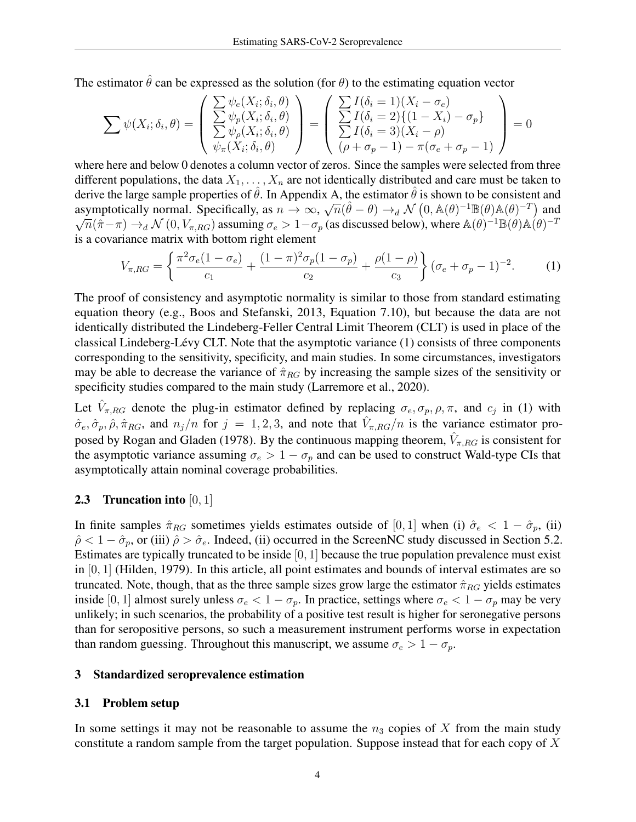The estimator  $\hat{\theta}$  can be expressed as the solution (for  $\theta$ ) to the estimating equation vector

$$
\sum \psi(X_i; \delta_i, \theta) = \begin{pmatrix} \sum \psi_e(X_i; \delta_i, \theta) \\ \sum \psi_p(X_i; \delta_i, \theta) \\ \sum \psi_\rho(X_i; \delta_i, \theta) \\ \psi_\pi(X_i; \delta_i, \theta) \end{pmatrix} = \begin{pmatrix} \sum I(\delta_i = 1)(X_i - \sigma_e) \\ \sum I(\delta_i = 2)\{(1 - X_i) - \sigma_p\} \\ \sum I(\delta_i = 3)(X_i - \rho) \\ (\rho + \sigma_p - 1) - \pi(\sigma_e + \sigma_p - 1) \end{pmatrix} = 0
$$

where here and below 0 denotes a column vector of zeros. Since the samples were selected from three different populations, the data  $X_1, \ldots, X_n$  are not identically distributed and care must be taken to derive the large sample properties of  $\hat{\theta}$ . In Appendix [A,](#page-18-0) the estimator  $\hat{\theta}$  is shown to be consistent and asymptotically normal. Specifically, as  $n \to \infty$ ,  $\sqrt{n}(\hat{\theta} - \theta) \to_d N(0, \mathbb{A}(\theta)^{-1} \mathbb{B}(\theta) \mathbb{A}(\theta)^{-T})$  and  $\frac{1}{n}(\hat{\pi}-\pi) \to_d \mathcal{N}(0, V_{\pi, RG})$  assuming  $\sigma_e > 1 - \sigma_p$  (as discussed below), where  $\mathbb{A}(\theta)^{-1} \mathbb{B}(\theta) \mathbb{A}(\theta)^{-1}$ is a covariance matrix with bottom right element

<span id="page-3-1"></span>
$$
V_{\pi, RG} = \left\{ \frac{\pi^2 \sigma_e (1 - \sigma_e)}{c_1} + \frac{(1 - \pi)^2 \sigma_p (1 - \sigma_p)}{c_2} + \frac{\rho (1 - \rho)}{c_3} \right\} (\sigma_e + \sigma_p - 1)^{-2}.
$$
 (1)

The proof of consistency and asymptotic normality is similar to those from standard estimating equation theory (e.g., [Boos and Stefanski, 2013,](#page-14-6) Equation 7.10), but because the data are not identically distributed the Lindeberg-Feller Central Limit Theorem (CLT) is used in place of the classical Lindeberg-Lévy CLT. Note that the asymptotic variance [\(1\)](#page-3-1) consists of three components corresponding to the sensitivity, specificity, and main studies. In some circumstances, investigators may be able to decrease the variance of  $\hat{\pi}_{RG}$  by increasing the sample sizes of the sensitivity or specificity studies compared to the main study [\(Larremore et al., 2020\)](#page-15-3).

Let  $\hat{V}_{\pi, RG}$  denote the plug-in estimator defined by replacing  $\sigma_e, \sigma_p, \rho, \pi$ , and  $c_j$  in [\(1\)](#page-3-1) with  $\hat{\sigma}_e, \hat{\sigma}_p, \hat{\rho}, \hat{\pi}_{RG}$ , and  $n_j/n$  for  $j = 1, 2, 3$ , and note that  $\hat{V}_{\pi, RG}/n$  is the variance estimator pro-posed by [Rogan and Gladen](#page-16-3) [\(1978\)](#page-16-3). By the continuous mapping theorem,  $\hat{V}_{\pi, RG}$  is consistent for the asymptotic variance assuming  $\sigma_e > 1 - \sigma_p$  and can be used to construct Wald-type CIs that asymptotically attain nominal coverage probabilities.

## **2.3** Truncation into  $[0, 1]$

In finite samples  $\hat{\pi}_{RG}$  sometimes yields estimates outside of [0, 1] when (i)  $\hat{\sigma}_e < 1 - \hat{\sigma}_p$ , (ii)  $\hat{\rho}$  < 1 –  $\hat{\sigma}_p$ , or (iii)  $\hat{\rho} > \hat{\sigma}_e$ . Indeed, (ii) occurred in the ScreenNC study discussed in Section [5.2.](#page-12-1) Estimates are typically truncated to be inside  $[0, 1]$  because the true population prevalence must exist in  $[0, 1]$  [\(Hilden, 1979\)](#page-15-4). In this article, all point estimates and bounds of interval estimates are so truncated. Note, though, that as the three sample sizes grow large the estimator  $\hat{\pi}_{RG}$  yields estimates inside [0, 1] almost surely unless  $\sigma_e < 1 - \sigma_p$ . In practice, settings where  $\sigma_e < 1 - \sigma_p$  may be very unlikely; in such scenarios, the probability of a positive test result is higher for seronegative persons than for seropositive persons, so such a measurement instrument performs worse in expectation than random guessing. Throughout this manuscript, we assume  $\sigma_e > 1 - \sigma_p$ .

## <span id="page-3-0"></span>3 Standardized seroprevalence estimation

## 3.1 Problem setup

In some settings it may not be reasonable to assume the  $n_3$  copies of X from the main study constitute a random sample from the target population. Suppose instead that for each copy of  $X$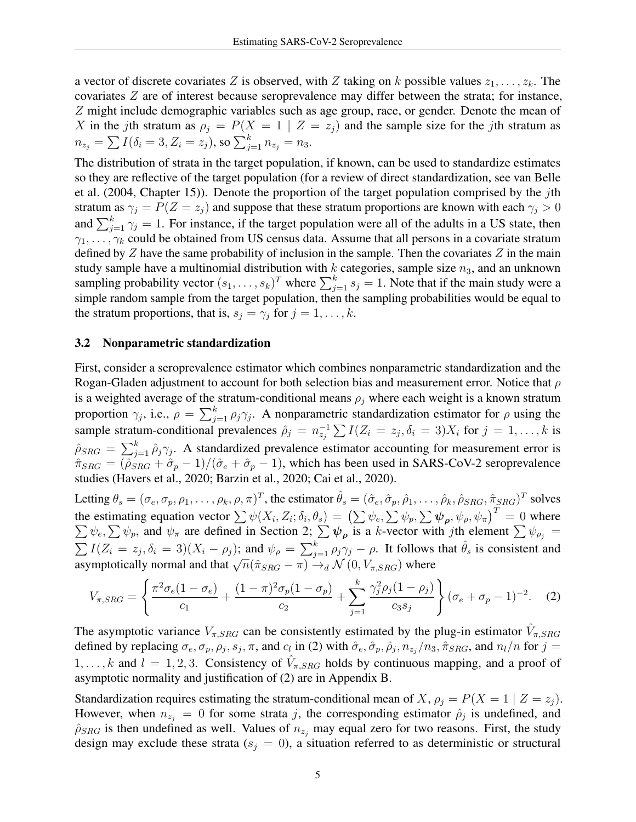a vector of discrete covariates Z is observed, with Z taking on k possible values  $z_1, \ldots, z_k$ . The covariates Z are of interest because seroprevalence may differ between the strata; for instance, Z might include demographic variables such as age group, race, or gender. Denote the mean of X in the jth stratum as  $\rho_i = P(X = 1 | Z = z_i)$  and the sample size for the jth stratum as  $n_{z_j} = \sum I(\delta_i = 3, Z_i = z_j),$  so  $\sum_{j=1}^{k} n_{z_j} = n_3.$ 

The distribution of strata in the target population, if known, can be used to standardize estimates so they are reflective of the target population (for a review of direct standardization, see [van Belle](#page-16-6) [et al.](#page-16-6) [\(2004,](#page-16-6) Chapter 15)). Denote the proportion of the target population comprised by the jth stratum as  $\gamma_j = \overline{P}(Z = z_j)$  and suppose that these stratum proportions are known with each  $\gamma_j > 0$ and  $\sum_{j=1}^{k} \gamma_j = 1$ . For instance, if the target population were all of the adults in a US state, then  $\gamma_1, \ldots, \gamma_k$  could be obtained from US census data. Assume that all persons in a covariate stratum defined by  $Z$  have the same probability of inclusion in the sample. Then the covariates  $Z$  in the main study sample have a multinomial distribution with k categories, sample size  $n_3$ , and an unknown sampling probability vector  $(s_1, \ldots, s_k)^T$  where  $\sum_{j=1}^k s_j = 1$ . Note that if the main study were a simple random sample from the target population, then the sampling probabilities would be equal to the stratum proportions, that is,  $s_j = \gamma_j$  for  $j = 1, \ldots, k$ .

## <span id="page-4-1"></span>3.2 Nonparametric standardization

First, consider a seroprevalence estimator which combines nonparametric standardization and the Rogan-Gladen adjustment to account for both selection bias and measurement error. Notice that  $\rho$ is a weighted average of the stratum-conditional means  $\rho_j$  where each weight is a known stratum proportion  $\gamma_j$ , i.e.,  $\rho = \sum_{j=1}^k \rho_j \gamma_j$ . A nonparametric standardization estimator for  $\rho$  using the sample stratum-conditional prevalences  $\hat{\rho}_j = n_{z_j}^{-1} \sum I(Z_i = z_j, \delta_i = 3)X_i$  for  $j = 1, ..., k$  is  $\hat{\rho}_{SRG} = \sum_{j=1}^{k} \hat{\rho}_j \gamma_j$ . A standardized prevalence estimator accounting for measurement error is  $\hat{\pi}_{SRG} = (\hat{\rho}_{SRG} + \hat{\sigma}_p - 1)/(\hat{\sigma}_e + \hat{\sigma}_p - 1)$ , which has been used in SARS-CoV-2 seroprevalence studies [\(Havers et al., 2020;](#page-15-5) [Barzin et al., 2020;](#page-14-7) [Cai et al., 2020\)](#page-14-8).

Letting  $\theta_s = (\sigma_e, \sigma_p, \rho_1, \dots, \rho_k, \rho, \pi)^T$ , the estimator  $\hat{\theta}_s = (\hat{\sigma}_e, \hat{\sigma}_p, \hat{\rho}_1, \dots, \hat{\rho}_k, \hat{\rho}_{SRG}, \hat{\pi}_{SRG})^T$  solves the estimating equation vector  $\sum \psi(X_i, Z_i; \delta_i, \theta_s) = (\sum \psi_e, \sum \psi_p, \sum \psi_\rho, \psi_\rho, \psi_\pi)^T = 0$  where  $\sum \psi_e, \sum \psi_p$ , and  $\psi_\pi$  are defined in Section [2;](#page-2-0)  $\sum \psi_\rho$  is a k-vector with jth element  $\sum \psi_{\rho_j} =$  $\sum I(Z_i = z_j, \delta_i = 3)(X_i - \rho_j)$ ; and  $\psi_\rho = \sum_{j=1}^k \rho_j \gamma_j - \rho$ . It follows that  $\hat{\theta}_s$  is consistent and  $\angle T^{1}(Z_i - z_j, \sigma_i = \sigma)(X_i - \rho_j),$  and  $\phi_{\rho} = \angle_{j=1} P_j / \sigma$ . It follows<br>asymptotically normal and that  $\sqrt{n}(\hat{\pi}_{SRG} - \pi) \rightarrow_d \mathcal{N}(0, V_{\pi, SRG})$  where

<span id="page-4-0"></span>
$$
V_{\pi,SRG} = \left\{ \frac{\pi^2 \sigma_e (1 - \sigma_e)}{c_1} + \frac{(1 - \pi)^2 \sigma_p (1 - \sigma_p)}{c_2} + \sum_{j=1}^k \frac{\gamma_j^2 \rho_j (1 - \rho_j)}{c_3 s_j} \right\} (\sigma_e + \sigma_p - 1)^{-2}.
$$
 (2)

The asymptotic variance  $V_{\pi,SRG}$  can be consistently estimated by the plug-in estimator  $\hat{V}_{\pi,SRG}$ defined by replacing  $\sigma_e, \sigma_p, \rho_j, s_j, \pi$ , and  $c_l$  in [\(2\)](#page-4-0) with  $\hat{\sigma}_e, \hat{\sigma}_p, \hat{\rho}_j, n_{z_j}/n_3, \hat{\pi}_{SRG}$ , and  $n_l/n$  for  $j =$  $1, \ldots, k$  and  $l = 1, 2, 3$ . Consistency of  $\hat{V}_{\pi, SRG}$  holds by continuous mapping, and a proof of asymptotic normality and justification of [\(2\)](#page-4-0) are in Appendix [B.](#page-20-0)

Standardization requires estimating the stratum-conditional mean of X,  $\rho_i = P(X = 1 | Z = z_i)$ . However, when  $n_{z_i} = 0$  for some strata j, the corresponding estimator  $\hat{\rho}_j$  is undefined, and  $\hat{\rho}_{SRG}$  is then undefined as well. Values of  $n_{z_i}$  may equal zero for two reasons. First, the study design may exclude these strata ( $s_i = 0$ ), a situation referred to as deterministic or structural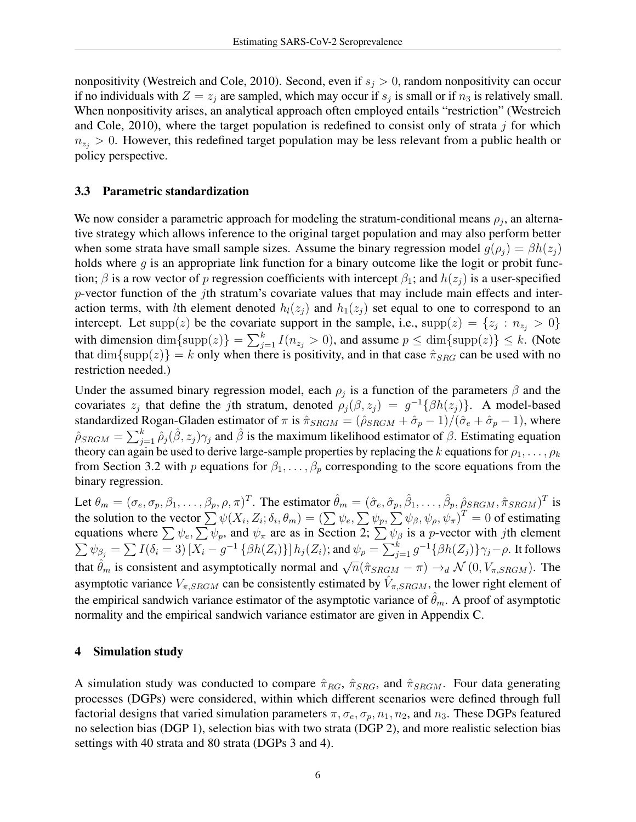nonpositivity (Westreich and Cole, 2010). Second, even if  $s_j > 0$ , random nonpositivity can occur if no individuals with  $Z = z_j$  are sampled, which may occur if  $s_j$  is small or if  $n_3$  is relatively small. When nonpositivity arises, an analytical approach often employed entails "restriction" [\(Westreich](#page-16-7) [and Cole, 2010\)](#page-16-7), where the target population is redefined to consist only of strata  $j$  for which  $n_{z_i} > 0$ . However, this redefined target population may be less relevant from a public health or policy perspective.

## 3.3 Parametric standardization

We now consider a parametric approach for modeling the stratum-conditional means  $\rho_j$ , an alternative strategy which allows inference to the original target population and may also perform better when some strata have small sample sizes. Assume the binary regression model  $g(\rho_i) = \beta h(z_i)$ holds where  $q$  is an appropriate link function for a binary outcome like the logit or probit function;  $\beta$  is a row vector of p regression coefficients with intercept  $\beta_1$ ; and  $h(z_i)$  is a user-specified  $p$ -vector function of the jth stratum's covariate values that may include main effects and interaction terms, with lth element denoted  $h_l(z_i)$  and  $h_l(z_i)$  set equal to one to correspond to an intercept. Let supp(z) be the covariate support in the sample, i.e.,  $\text{supp}(z) = \{z_j : n_{z_j} > 0\}$ with dimension  $\dim{\{\text{supp}(z)\}} = \sum_{j=1}^{k} I(n_{z_j} > 0)$ , and assume  $p \le \dim{\{\text{supp}(z)\}} \le k$ . (Note that  $\dim{\{\text{supp}(z)\}} = k$  only when there is positivity, and in that case  $\hat{\pi}_{SRG}$  can be used with no restriction needed.)

Under the assumed binary regression model, each  $\rho_j$  is a function of the parameters  $\beta$  and the covariates  $z_j$  that define the jth stratum, denoted  $\rho_j(\beta, z_j) = g^{-1} \{\beta h(z_j)\}\.$  A model-based standardized Rogan-Gladen estimator of  $\pi$  is  $\hat{\pi}_{SRGM} = (\hat{\rho}_{SRGM} + \hat{\sigma}_p - 1)/(\hat{\sigma}_e + \hat{\sigma}_p - 1)$ , where  $\hat{\rho}_{SRGM} = \sum_{j=1}^{k} \hat{\rho}_j(\hat{\beta}, z_j) \gamma_j$  and  $\hat{\beta}$  is the maximum likelihood estimator of  $\beta$ . Estimating equation theory can again be used to derive large-sample properties by replacing the k equations for  $\rho_1, \ldots, \rho_k$ from Section [3.2](#page-4-1) with p equations for  $\beta_1, \ldots, \beta_p$  corresponding to the score equations from the binary regression.

Let  $\theta_m = (\sigma_e, \sigma_p, \beta_1, \dots, \beta_p, \rho, \pi)^T$ . The estimator  $\hat{\theta}_m = (\hat{\sigma}_e, \hat{\sigma}_p, \hat{\beta}_1, \dots, \hat{\beta}_p, \hat{\rho}_{SRGM}, \hat{\pi}_{SRGM})^T$  is the solution to the vector  $\sum \psi(X_i, Z_i; \delta_i, \theta_m) = (\sum \psi_e, \sum \psi_p, \sum \psi_\beta, \psi_\rho, \psi_\pi)^T = 0$  of estimating equations where  $\sum \psi_e, \sum \psi_p$ , and  $\psi_\pi$  are as in Section [2;](#page-2-0)  $\sum \psi_\beta$  is a *p*-vector with *j*th element  $\sum \psi_{\beta_j} = \sum I(\delta_i = 3)\left[X_i - g^{-1} \left\{\beta h(Z_i)\right\}\right] h_j(Z_i);$  and  $\psi_\rho = \sum_{j=1}^k g^{-1} \{\beta h(Z_j)\} \gamma_j - \rho.$  It follows that  $\hat{\theta}_m$  is consistent and asymptotically normal and  $\sqrt{n}(\hat{\pi}_{SRGM} - \pi) \rightarrow_d \mathcal{N}(0, V_{\pi,SRGM})$ . The asymptotic variance  $V_{\pi,SRGM}$  can be consistently estimated by  $\hat{V}_{\pi,SRGM}$ , the lower right element of the empirical sandwich variance estimator of the asymptotic variance of  $\hat{\theta}_m$ . A proof of asymptotic normality and the empirical sandwich variance estimator are given in Appendix [C.](#page-22-0)

## <span id="page-5-0"></span>4 Simulation study

A simulation study was conducted to compare  $\hat{\pi}_{RG}$ ,  $\hat{\pi}_{SRG}$ , and  $\hat{\pi}_{SRGM}$ . Four data generating processes (DGPs) were considered, within which different scenarios were defined through full factorial designs that varied simulation parameters  $\pi, \sigma_e, \sigma_p, n_1, n_2$ , and  $n_3$ . These DGPs featured no selection bias (DGP 1), selection bias with two strata (DGP 2), and more realistic selection bias settings with 40 strata and 80 strata (DGPs 3 and 4).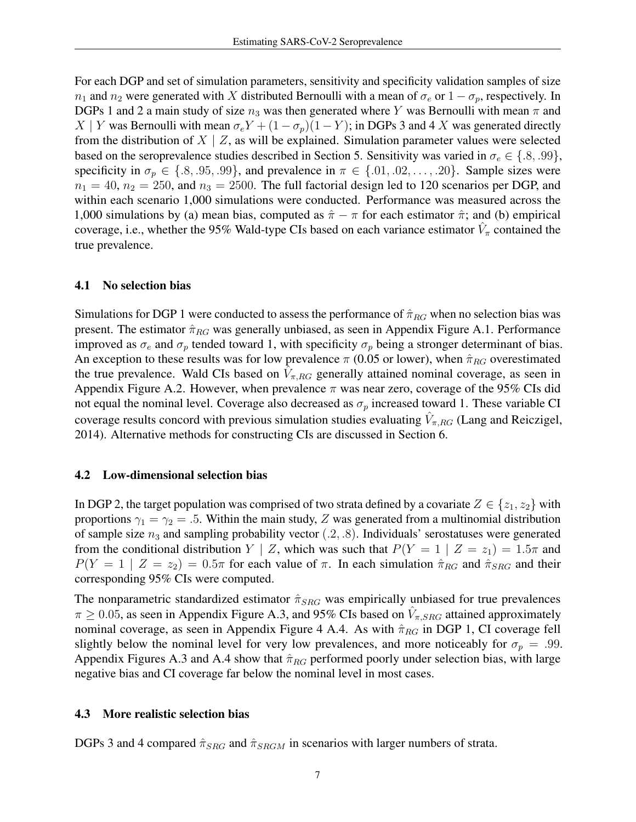For each DGP and set of simulation parameters, sensitivity and specificity validation samples of size  $n_1$  and  $n_2$  were generated with X distributed Bernoulli with a mean of  $\sigma_e$  or  $1 - \sigma_p$ , respectively. In DGPs 1 and 2 a main study of size  $n_3$  was then generated where Y was Bernoulli with mean  $\pi$  and X | Y was Bernoulli with mean  $\sigma_e Y + (1 - \sigma_p)(1 - Y)$ ; in DGPs 3 and 4 X was generated directly from the distribution of  $X \mid Z$ , as will be explained. Simulation parameter values were selected based on the seroprevalence studies described in Section [5.](#page-9-0) Sensitivity was varied in  $\sigma_e \in \{.8, .99\}$ , specificity in  $\sigma_p \in \{.8, .95, .99\}$ , and prevalence in  $\pi \in \{.01, .02, \ldots, .20\}$ . Sample sizes were  $n_1 = 40$ ,  $n_2 = 250$ , and  $n_3 = 2500$ . The full factorial design led to 120 scenarios per DGP, and within each scenario 1,000 simulations were conducted. Performance was measured across the 1,000 simulations by (a) mean bias, computed as  $\hat{\pi} - \pi$  for each estimator  $\hat{\pi}$ ; and (b) empirical coverage, i.e., whether the 95% Wald-type CIs based on each variance estimator  $\hat{V}_{\pi}$  contained the true prevalence.

## <span id="page-6-0"></span>4.1 No selection bias

Simulations for DGP 1 were conducted to assess the performance of  $\hat{\pi}_{RG}$  when no selection bias was present. The estimator  $\hat{\pi}_{RG}$  was generally unbiased, as seen in Appendix Figure [A.1.](#page-24-0) Performance improved as  $\sigma_e$  and  $\sigma_p$  tended toward 1, with specificity  $\sigma_p$  being a stronger determinant of bias. An exception to these results was for low prevalence  $\pi$  (0.05 or lower), when  $\hat{\pi}_{RG}$  overestimated the true prevalence. Wald CIs based on  $\hat{V}_{\pi, RG}$  generally attained nominal coverage, as seen in Appendix Figure [A.2.](#page-25-0) However, when prevalence  $\pi$  was near zero, coverage of the 95% CIs did not equal the nominal level. Coverage also decreased as  $\sigma_p$  increased toward 1. These variable CI coverage results concord with previous simulation studies evaluating  $\hat{V}_{\pi, RG}$  [\(Lang and Reiczigel,](#page-15-6) [2014\)](#page-15-6). Alternative methods for constructing CIs are discussed in Section [6.](#page-12-0)

#### <span id="page-6-1"></span>4.2 Low-dimensional selection bias

In DGP 2, the target population was comprised of two strata defined by a covariate  $Z \in \{z_1, z_2\}$  with proportions  $\gamma_1 = \gamma_2 = .5$ . Within the main study, Z was generated from a multinomial distribution of sample size  $n_3$  and sampling probability vector  $(0.2, 0.8)$ . Individuals' serostatuses were generated from the conditional distribution  $Y \mid Z$ , which was such that  $P(Y = 1 \mid Z = z_1) = 1.5\pi$  and  $P(Y = 1 | Z = z_2) = 0.5\pi$  for each value of  $\pi$ . In each simulation  $\hat{\pi}_{RG}$  and  $\hat{\pi}_{SRG}$  and their corresponding 95% CIs were computed.

The nonparametric standardized estimator  $\hat{\pi}_{SRG}$  was empirically unbiased for true prevalences  $\pi \geq 0.05$ , as seen in Appendix Figure [A.3,](#page-26-0) and 95% CIs based on  $\hat{V}_{\pi,SRG}$  attained approximately nominal coverage, as seen in Appendix Figure 4 [A.4.](#page-27-0) As with  $\hat{\pi}_{RG}$  in DGP 1, CI coverage fell slightly below the nominal level for very low prevalences, and more noticeably for  $\sigma_p = .99$ . Appendix Figures [A.3](#page-26-0) and [A.4](#page-27-0) show that  $\hat{\pi}_{RG}$  performed poorly under selection bias, with large negative bias and CI coverage far below the nominal level in most cases.

## 4.3 More realistic selection bias

DGPs 3 and 4 compared  $\hat{\pi}_{SRG}$  and  $\hat{\pi}_{SRGM}$  in scenarios with larger numbers of strata.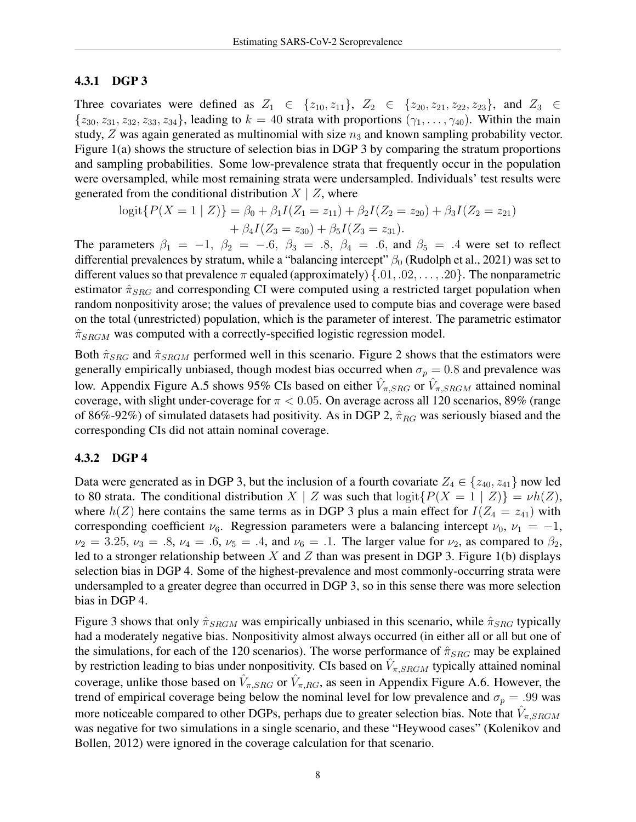# <span id="page-7-0"></span>4.3.1 DGP 3

Three covariates were defined as  $Z_1 \in \{z_{10}, z_{11}\}, Z_2 \in \{z_{20}, z_{21}, z_{22}, z_{23}\},$  and  $Z_3 \in$  ${z_{30}, z_{31}, z_{32}, z_{33}, z_{34}}$ , leading to  $k = 40$  strata with proportions  $(\gamma_1, \ldots, \gamma_{40})$ . Within the main study,  $Z$  was again generated as multinomial with size  $n_3$  and known sampling probability vector. Figure [1\(](#page-8-0)a) shows the structure of selection bias in DGP 3 by comparing the stratum proportions and sampling probabilities. Some low-prevalence strata that frequently occur in the population were oversampled, while most remaining strata were undersampled. Individuals' test results were generated from the conditional distribution  $X \mid Z$ , where

$$
logit\{P(X = 1 | Z)\} = \beta_0 + \beta_1 I(Z_1 = z_{11}) + \beta_2 I(Z_2 = z_{20}) + \beta_3 I(Z_2 = z_{21}) + \beta_4 I(Z_3 = z_{30}) + \beta_5 I(Z_3 = z_{31}).
$$

The parameters  $\beta_1 = -1$ ,  $\beta_2 = -.6$ ,  $\beta_3 = .8$ ,  $\beta_4 = .6$ , and  $\beta_5 = .4$  were set to reflect differential prevalences by stratum, while a "balancing intercept"  $\beta_0$  [\(Rudolph et al., 2021\)](#page-16-8) was set to different values so that prevalence  $\pi$  equaled (approximately)  $\{.01, .02, \ldots, .20\}$ . The nonparametric estimator  $\hat{\pi}_{SRG}$  and corresponding CI were computed using a restricted target population when random nonpositivity arose; the values of prevalence used to compute bias and coverage were based on the total (unrestricted) population, which is the parameter of interest. The parametric estimator  $\hat{\pi}_{SRGM}$  was computed with a correctly-specified logistic regression model.

Both  $\hat{\pi}_{SRG}$  and  $\hat{\pi}_{SRGM}$  performed well in this scenario. Figure [2](#page-9-1) shows that the estimators were generally empirically unbiased, though modest bias occurred when  $\sigma_p = 0.8$  and prevalence was low. Appendix Figure [A.5](#page-28-0) shows 95% CIs based on either  $\hat{V}_{\pi,SRG}$  or  $\hat{V}_{\pi,SRGM}$  attained nominal coverage, with slight under-coverage for  $\pi$  < 0.05. On average across all 120 scenarios, 89% (range of 86%-92%) of simulated datasets had positivity. As in DGP 2,  $\hat{\pi}_{RG}$  was seriously biased and the corresponding CIs did not attain nominal coverage.

## <span id="page-7-1"></span>4.3.2 DGP 4

Data were generated as in DGP 3, but the inclusion of a fourth covariate  $Z_4 \in \{z_{40}, z_{41}\}$  now led to 80 strata. The conditional distribution  $X \mid Z$  was such that  $\logit\{P(X = 1 \mid Z)\} = \nu h(Z)$ , where  $h(Z)$  here contains the same terms as in DGP 3 plus a main effect for  $I(Z_4 = z_{41})$  with corresponding coefficient  $\nu_6$ . Regression parameters were a balancing intercept  $\nu_0$ ,  $\nu_1 = -1$ ,  $\nu_2 = 3.25, \nu_3 = .8, \nu_4 = .6, \nu_5 = .4, \text{ and } \nu_6 = .1.$  The larger value for  $\nu_2$ , as compared to  $\beta_2$ , led to a stronger relationship between X and Z than was present in DGP 3. Figure [1\(](#page-8-0)b) displays selection bias in DGP 4. Some of the highest-prevalence and most commonly-occurring strata were undersampled to a greater degree than occurred in DGP 3, so in this sense there was more selection bias in DGP 4.

Figure [3](#page-10-0) shows that only  $\hat{\pi}_{SRGM}$  was empirically unbiased in this scenario, while  $\hat{\pi}_{SRG}$  typically had a moderately negative bias. Nonpositivity almost always occurred (in either all or all but one of the simulations, for each of the 120 scenarios). The worse performance of  $\hat{\pi}_{SRG}$  may be explained by restriction leading to bias under nonpositivity. CIs based on  $\hat{V}_{\pi,SRGM}$  typically attained nominal coverage, unlike those based on  $\hat{V}_{\pi,SRG}$  or  $\hat{V}_{\pi,RG}$ , as seen in Appendix Figure [A.6.](#page-29-0) However, the trend of empirical coverage being below the nominal level for low prevalence and  $\sigma_p = .99$  was more noticeable compared to other DGPs, perhaps due to greater selection bias. Note that  $\hat{V}_{\pi,SRGM}$ was negative for two simulations in a single scenario, and these "Heywood cases" [\(Kolenikov and](#page-15-7) [Bollen, 2012\)](#page-15-7) were ignored in the coverage calculation for that scenario.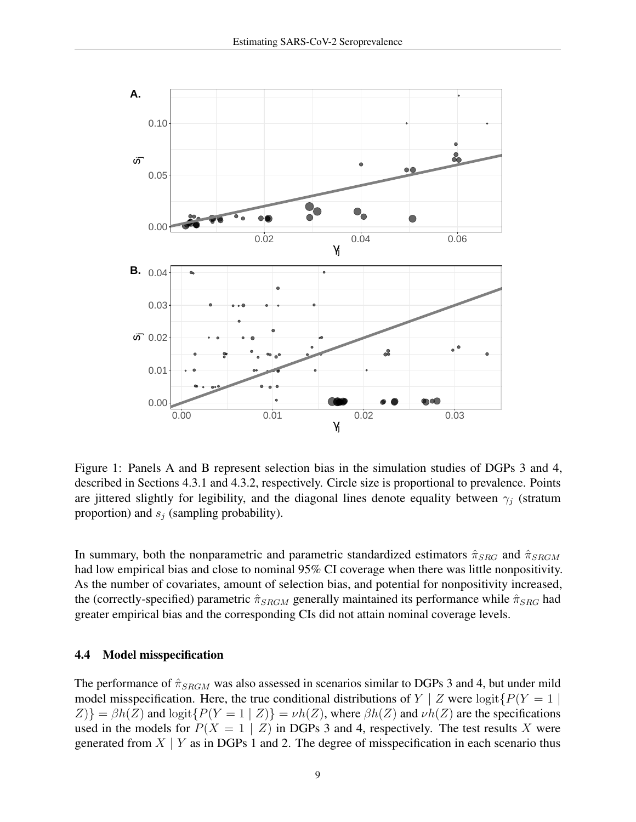

<span id="page-8-0"></span>Figure 1: Panels A and B represent selection bias in the simulation studies of DGPs 3 and 4, described in Sections [4.3.1](#page-7-0) and [4.3.2,](#page-7-1) respectively. Circle size is proportional to prevalence. Points are jittered slightly for legibility, and the diagonal lines denote equality between  $\gamma_j$  (stratum proportion) and  $s_i$  (sampling probability).

In summary, both the nonparametric and parametric standardized estimators  $\hat{\pi}_{SRG}$  and  $\hat{\pi}_{SRGM}$ had low empirical bias and close to nominal 95% CI coverage when there was little nonpositivity. As the number of covariates, amount of selection bias, and potential for nonpositivity increased, the (correctly-specified) parametric  $\hat{\pi}_{SRGM}$  generally maintained its performance while  $\hat{\pi}_{SRG}$  had greater empirical bias and the corresponding CIs did not attain nominal coverage levels.

#### <span id="page-8-1"></span>4.4 Model misspecification

The performance of  $\hat{\pi}_{SRGM}$  was also assessed in scenarios similar to DGPs 3 and 4, but under mild model misspecification. Here, the true conditional distributions of  $Y \mid Z$  were logit $\{P(Y = 1)$  $Z$ )} =  $\beta h(Z)$  and logit{ $P(Y = 1 | Z)$ } =  $\nu h(Z)$ , where  $\beta h(Z)$  and  $\nu h(Z)$  are the specifications used in the models for  $P(X = 1 | Z)$  in DGPs 3 and 4, respectively. The test results X were generated from  $X \mid Y$  as in DGPs 1 and 2. The degree of misspecification in each scenario thus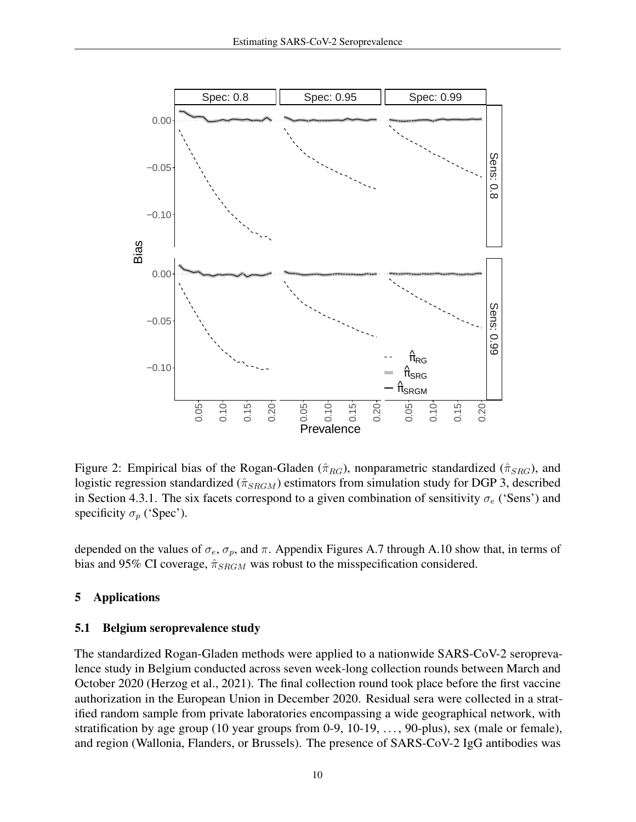

<span id="page-9-1"></span>Figure 2: Empirical bias of the Rogan-Gladen ( $\hat{\pi}_{RG}$ ), nonparametric standardized ( $\hat{\pi}_{SRG}$ ), and logistic regression standardized ( $\hat{\pi}_{SRGM}$ ) estimators from simulation study for DGP 3, described in Section [4.3.1.](#page-7-0) The six facets correspond to a given combination of sensitivity  $\sigma_e$  ('Sens') and specificity  $\sigma_p$  ('Spec').

depended on the values of  $\sigma_e$ ,  $\sigma_p$ , and  $\pi$ . Appendix Figures [A.7](#page-30-0) through [A.10](#page-33-0) show that, in terms of bias and 95% CI coverage,  $\hat{\pi}_{SRGM}$  was robust to the misspecification considered.

## <span id="page-9-0"></span>5 Applications

## <span id="page-9-2"></span>5.1 Belgium seroprevalence study

The standardized Rogan-Gladen methods were applied to a nationwide SARS-CoV-2 seroprevalence study in Belgium conducted across seven week-long collection rounds between March and October 2020 [\(Herzog et al., 2021\)](#page-15-8). The final collection round took place before the first vaccine authorization in the European Union in December 2020. Residual sera were collected in a stratified random sample from private laboratories encompassing a wide geographical network, with stratification by age group (10 year groups from 0-9, 10-19, ..., 90-plus), sex (male or female), and region (Wallonia, Flanders, or Brussels). The presence of SARS-CoV-2 IgG antibodies was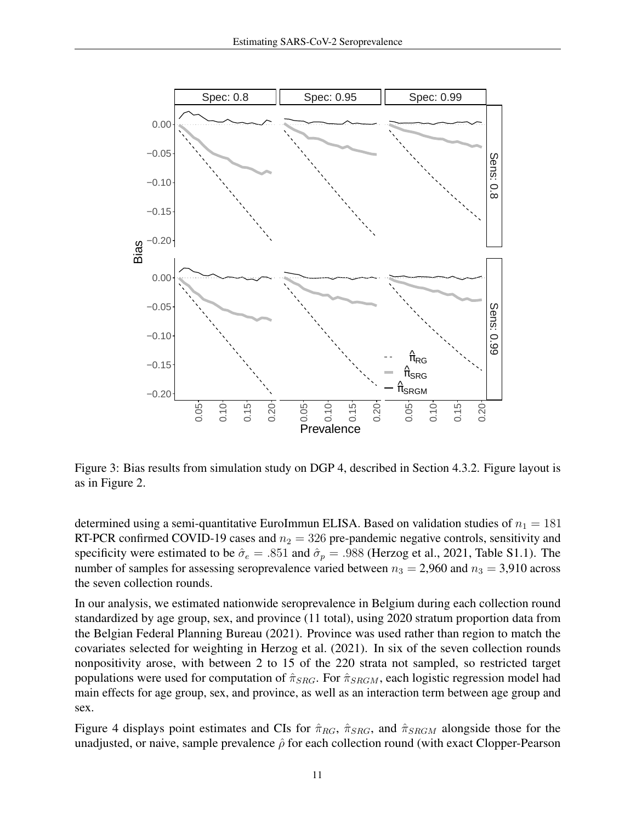

<span id="page-10-0"></span>Figure 3: Bias results from simulation study on DGP 4, described in Section [4.3.2.](#page-7-1) Figure layout is as in Figure [2.](#page-9-1)

determined using a semi-quantitative EuroImmun ELISA. Based on validation studies of  $n_1 = 181$ RT-PCR confirmed COVID-19 cases and  $n_2 = 326$  pre-pandemic negative controls, sensitivity and specificity were estimated to be  $\hat{\sigma}_e = .851$  and  $\hat{\sigma}_p = .988$  [\(Herzog et al., 2021,](#page-15-8) Table S1.1). The number of samples for assessing seroprevalence varied between  $n_3 = 2,960$  and  $n_3 = 3,910$  across the seven collection rounds.

In our analysis, we estimated nationwide seroprevalence in Belgium during each collection round standardized by age group, sex, and province (11 total), using 2020 stratum proportion data from the Belgian [Federal Planning Bureau](#page-15-9) [\(2021\)](#page-15-9). Province was used rather than region to match the covariates selected for weighting in [Herzog et al.](#page-15-8) [\(2021\)](#page-15-8). In six of the seven collection rounds nonpositivity arose, with between 2 to 15 of the 220 strata not sampled, so restricted target populations were used for computation of  $\hat{\pi}_{SRG}$ . For  $\hat{\pi}_{SRGM}$ , each logistic regression model had main effects for age group, sex, and province, as well as an interaction term between age group and sex.

Figure [4](#page-11-0) displays point estimates and CIs for  $\hat{\pi}_{RG}$ ,  $\hat{\pi}_{SRG}$ , and  $\hat{\pi}_{SRGM}$  alongside those for the unadjusted, or naive, sample prevalence  $\hat{\rho}$  for each collection round (with exact Clopper-Pearson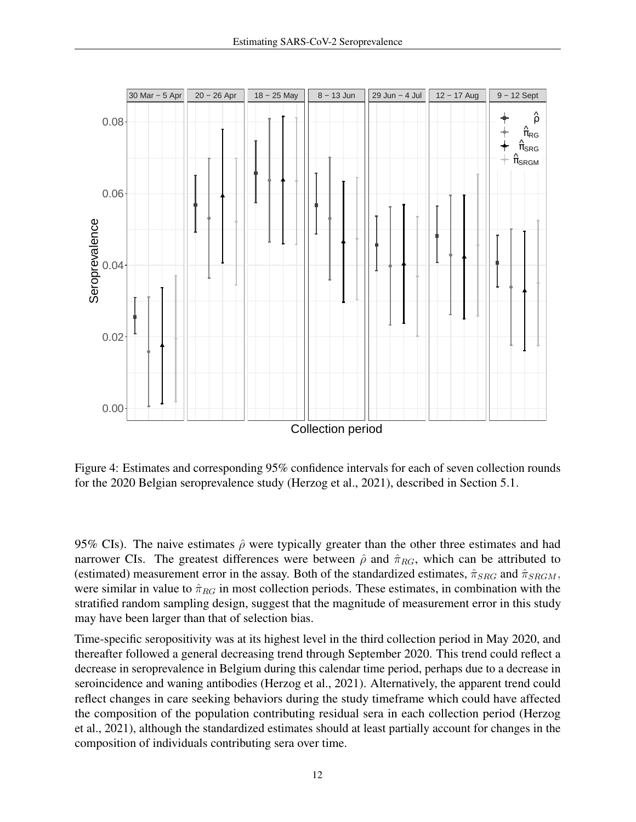

<span id="page-11-0"></span>Figure 4: Estimates and corresponding 95% confidence intervals for each of seven collection rounds for the 2020 Belgian seroprevalence study [\(Herzog et al., 2021\)](#page-15-8), described in Section [5.1.](#page-9-2)

95% CIs). The naive estimates  $\hat{\rho}$  were typically greater than the other three estimates and had narrower CIs. The greatest differences were between  $\hat{\rho}$  and  $\hat{\pi}_{RG}$ , which can be attributed to (estimated) measurement error in the assay. Both of the standardized estimates,  $\hat{\pi}_{SRG}$  and  $\hat{\pi}_{SRGM}$ , were similar in value to  $\hat{\pi}_{RG}$  in most collection periods. These estimates, in combination with the stratified random sampling design, suggest that the magnitude of measurement error in this study may have been larger than that of selection bias.

Time-specific seropositivity was at its highest level in the third collection period in May 2020, and thereafter followed a general decreasing trend through September 2020. This trend could reflect a decrease in seroprevalence in Belgium during this calendar time period, perhaps due to a decrease in seroincidence and waning antibodies [\(Herzog et al., 2021\)](#page-15-8). Alternatively, the apparent trend could reflect changes in care seeking behaviors during the study timeframe which could have affected the composition of the population contributing residual sera in each collection period [\(Herzog](#page-15-8) [et al., 2021\)](#page-15-8), although the standardized estimates should at least partially account for changes in the composition of individuals contributing sera over time.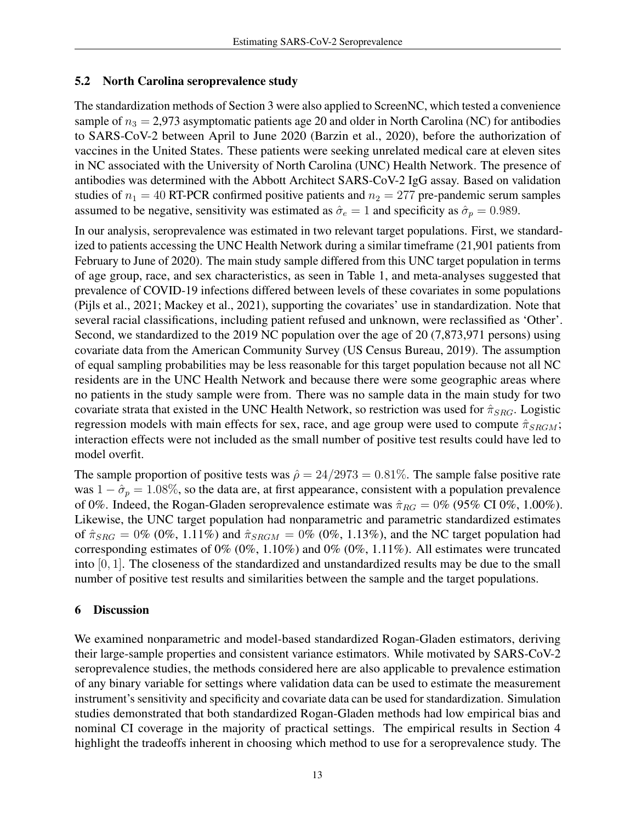# <span id="page-12-1"></span>5.2 North Carolina seroprevalence study

The standardization methods of Section [3](#page-3-0) were also applied to ScreenNC, which tested a convenience sample of  $n_3 = 2.973$  asymptomatic patients age 20 and older in North Carolina (NC) for antibodies to SARS-CoV-2 between April to June 2020 [\(Barzin et al., 2020\)](#page-14-7), before the authorization of vaccines in the United States. These patients were seeking unrelated medical care at eleven sites in NC associated with the University of North Carolina (UNC) Health Network. The presence of antibodies was determined with the Abbott Architect SARS-CoV-2 IgG assay. Based on validation studies of  $n_1 = 40$  RT-PCR confirmed positive patients and  $n_2 = 277$  pre-pandemic serum samples assumed to be negative, sensitivity was estimated as  $\hat{\sigma}_e = 1$  and specificity as  $\hat{\sigma}_p = 0.989$ .

In our analysis, seroprevalence was estimated in two relevant target populations. First, we standardized to patients accessing the UNC Health Network during a similar timeframe (21,901 patients from February to June of 2020). The main study sample differed from this UNC target population in terms of age group, race, and sex characteristics, as seen in Table [1,](#page-13-0) and meta-analyses suggested that prevalence of COVID-19 infections differed between levels of these covariates in some populations [\(Pijls et al., 2021;](#page-16-9) [Mackey et al., 2021\)](#page-15-10), supporting the covariates' use in standardization. Note that several racial classifications, including patient refused and unknown, were reclassified as 'Other'. Second, we standardized to the 2019 NC population over the age of 20 (7,873,971 persons) using covariate data from the American Community Survey [\(US Census Bureau, 2019\)](#page-16-10). The assumption of equal sampling probabilities may be less reasonable for this target population because not all NC residents are in the UNC Health Network and because there were some geographic areas where no patients in the study sample were from. There was no sample data in the main study for two covariate strata that existed in the UNC Health Network, so restriction was used for  $\hat{\pi}_{SRG}$ . Logistic regression models with main effects for sex, race, and age group were used to compute  $\hat{\pi}_{SRGM}$ ; interaction effects were not included as the small number of positive test results could have led to model overfit.

The sample proportion of positive tests was  $\hat{\rho} = 24/2973 = 0.81\%$ . The sample false positive rate was  $1 - \hat{\sigma}_p = 1.08\%$ , so the data are, at first appearance, consistent with a population prevalence of 0%. Indeed, the Rogan-Gladen seroprevalence estimate was  $\hat{\pi}_{RG} = 0\%$  (95% CI 0%, 1.00%). Likewise, the UNC target population had nonparametric and parametric standardized estimates of  $\hat{\pi}_{SRG} = 0\%$  (0%, 1.11%) and  $\hat{\pi}_{SRGM} = 0\%$  (0%, 1.13%), and the NC target population had corresponding estimates of 0% (0%, 1.10%) and 0% (0%, 1.11%). All estimates were truncated into [0, 1]. The closeness of the standardized and unstandardized results may be due to the small number of positive test results and similarities between the sample and the target populations.

# <span id="page-12-0"></span>6 Discussion

We examined nonparametric and model-based standardized Rogan-Gladen estimators, deriving their large-sample properties and consistent variance estimators. While motivated by SARS-CoV-2 seroprevalence studies, the methods considered here are also applicable to prevalence estimation of any binary variable for settings where validation data can be used to estimate the measurement instrument's sensitivity and specificity and covariate data can be used for standardization. Simulation studies demonstrated that both standardized Rogan-Gladen methods had low empirical bias and nominal CI coverage in the majority of practical settings. The empirical results in Section [4](#page-5-0) highlight the tradeoffs inherent in choosing which method to use for a seroprevalence study. The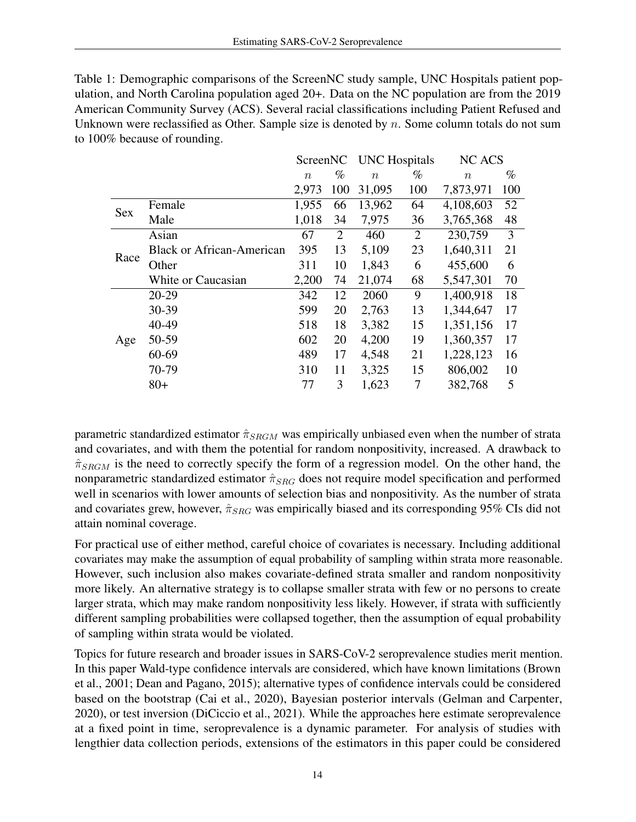<span id="page-13-0"></span>Table 1: Demographic comparisons of the ScreenNC study sample, UNC Hospitals patient population, and North Carolina population aged 20+. Data on the NC population are from the 2019 American Community Survey (ACS). Several racial classifications including Patient Refused and Unknown were reclassified as Other. Sample size is denoted by  $n$ . Some column totals do not sum to 100% because of rounding.

|            |                                  | ScreenNC         |      | <b>UNC</b> Hospitals |      | NC ACS    |     |
|------------|----------------------------------|------------------|------|----------------------|------|-----------|-----|
|            |                                  | $\boldsymbol{n}$ | $\%$ | $\boldsymbol{n}$     | $\%$ | $\eta$    | %   |
|            |                                  | 2,973            | 100  | 31,095               | 100  | 7,873,971 | 100 |
| <b>Sex</b> | Female                           | 1,955            | 66   | 13,962               | 64   | 4,108,603 | 52  |
|            | Male                             | 1,018            | 34   | 7,975                | 36   | 3,765,368 | 48  |
| Race       | Asian                            | 67               | 2    | 460                  | 2    | 230,759   | 3   |
|            | <b>Black or African-American</b> | 395              | 13   | 5,109                | 23   | 1,640,311 | 21  |
|            | Other                            | 311              | 10   | 1,843                | 6    | 455,600   | 6   |
|            | White or Caucasian               | 2,200            | 74   | 21,074               | 68   | 5,547,301 | 70  |
| Age        | 20-29                            | 342              | 12   | 2060                 | 9    | 1,400,918 | 18  |
|            | 30-39                            | 599              | 20   | 2,763                | 13   | 1,344,647 | 17  |
|            | 40-49                            | 518              | 18   | 3,382                | 15   | 1,351,156 | 17  |
|            | 50-59                            | 602              | 20   | 4,200                | 19   | 1,360,357 | 17  |
|            | 60-69                            | 489              | 17   | 4,548                | 21   | 1,228,123 | 16  |
|            | 70-79                            | 310              | 11   | 3,325                | 15   | 806,002   | 10  |
|            | $80+$                            | 77               | 3    | 1,623                | 7    | 382,768   | 5   |

parametric standardized estimator  $\hat{\pi}_{SRGM}$  was empirically unbiased even when the number of strata and covariates, and with them the potential for random nonpositivity, increased. A drawback to  $\hat{\pi}_{SRGM}$  is the need to correctly specify the form of a regression model. On the other hand, the nonparametric standardized estimator  $\hat{\pi}_{SRG}$  does not require model specification and performed well in scenarios with lower amounts of selection bias and nonpositivity. As the number of strata and covariates grew, however,  $\hat{\pi}_{SRG}$  was empirically biased and its corresponding 95% CIs did not attain nominal coverage.

For practical use of either method, careful choice of covariates is necessary. Including additional covariates may make the assumption of equal probability of sampling within strata more reasonable. However, such inclusion also makes covariate-defined strata smaller and random nonpositivity more likely. An alternative strategy is to collapse smaller strata with few or no persons to create larger strata, which may make random nonpositivity less likely. However, if strata with sufficiently different sampling probabilities were collapsed together, then the assumption of equal probability of sampling within strata would be violated.

Topics for future research and broader issues in SARS-CoV-2 seroprevalence studies merit mention. In this paper Wald-type confidence intervals are considered, which have known limitations [\(Brown](#page-14-9) [et al., 2001;](#page-14-9) [Dean and Pagano, 2015\)](#page-15-11); alternative types of confidence intervals could be considered based on the bootstrap [\(Cai et al., 2020\)](#page-14-8), Bayesian posterior intervals [\(Gelman and Carpenter,](#page-15-12) [2020\)](#page-15-12), or test inversion [\(DiCiccio et al., 2021\)](#page-15-13). While the approaches here estimate seroprevalence at a fixed point in time, seroprevalence is a dynamic parameter. For analysis of studies with lengthier data collection periods, extensions of the estimators in this paper could be considered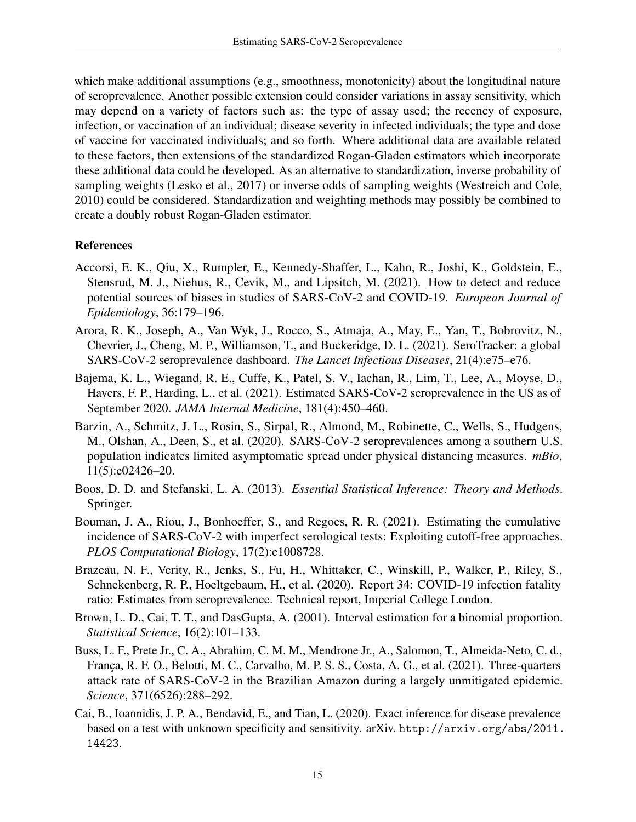which make additional assumptions (e.g., smoothness, monotonicity) about the longitudinal nature of seroprevalence. Another possible extension could consider variations in assay sensitivity, which may depend on a variety of factors such as: the type of assay used; the recency of exposure, infection, or vaccination of an individual; disease severity in infected individuals; the type and dose of vaccine for vaccinated individuals; and so forth. Where additional data are available related to these factors, then extensions of the standardized Rogan-Gladen estimators which incorporate these additional data could be developed. As an alternative to standardization, inverse probability of sampling weights [\(Lesko et al., 2017\)](#page-15-14) or inverse odds of sampling weights [\(Westreich and Cole,](#page-16-7) [2010\)](#page-16-7) could be considered. Standardization and weighting methods may possibly be combined to create a doubly robust Rogan-Gladen estimator.

## References

- <span id="page-14-4"></span>Accorsi, E. K., Qiu, X., Rumpler, E., Kennedy-Shaffer, L., Kahn, R., Joshi, K., Goldstein, E., Stensrud, M. J., Niehus, R., Cevik, M., and Lipsitch, M. (2021). How to detect and reduce potential sources of biases in studies of SARS-CoV-2 and COVID-19. *European Journal of Epidemiology*, 36:179–196.
- <span id="page-14-0"></span>Arora, R. K., Joseph, A., Van Wyk, J., Rocco, S., Atmaja, A., May, E., Yan, T., Bobrovitz, N., Chevrier, J., Cheng, M. P., Williamson, T., and Buckeridge, D. L. (2021). SeroTracker: a global SARS-CoV-2 seroprevalence dashboard. *The Lancet Infectious Diseases*, 21(4):e75–e76.
- <span id="page-14-5"></span>Bajema, K. L., Wiegand, R. E., Cuffe, K., Patel, S. V., Iachan, R., Lim, T., Lee, A., Moyse, D., Havers, F. P., Harding, L., et al. (2021). Estimated SARS-CoV-2 seroprevalence in the US as of September 2020. *JAMA Internal Medicine*, 181(4):450–460.
- <span id="page-14-7"></span>Barzin, A., Schmitz, J. L., Rosin, S., Sirpal, R., Almond, M., Robinette, C., Wells, S., Hudgens, M., Olshan, A., Deen, S., et al. (2020). SARS-CoV-2 seroprevalences among a southern U.S. population indicates limited asymptomatic spread under physical distancing measures. *mBio*, 11(5):e02426–20.
- <span id="page-14-6"></span>Boos, D. D. and Stefanski, L. A. (2013). *Essential Statistical Inference: Theory and Methods*. Springer.
- <span id="page-14-3"></span>Bouman, J. A., Riou, J., Bonhoeffer, S., and Regoes, R. R. (2021). Estimating the cumulative incidence of SARS-CoV-2 with imperfect serological tests: Exploiting cutoff-free approaches. *PLOS Computational Biology*, 17(2):e1008728.
- <span id="page-14-2"></span>Brazeau, N. F., Verity, R., Jenks, S., Fu, H., Whittaker, C., Winskill, P., Walker, P., Riley, S., Schnekenberg, R. P., Hoeltgebaum, H., et al. (2020). Report 34: COVID-19 infection fatality ratio: Estimates from seroprevalence. Technical report, Imperial College London.
- <span id="page-14-9"></span>Brown, L. D., Cai, T. T., and DasGupta, A. (2001). Interval estimation for a binomial proportion. *Statistical Science*, 16(2):101–133.
- <span id="page-14-1"></span>Buss, L. F., Prete Jr., C. A., Abrahim, C. M. M., Mendrone Jr., A., Salomon, T., Almeida-Neto, C. d., França, R. F. O., Belotti, M. C., Carvalho, M. P. S. S., Costa, A. G., et al. (2021). Three-quarters attack rate of SARS-CoV-2 in the Brazilian Amazon during a largely unmitigated epidemic. *Science*, 371(6526):288–292.
- <span id="page-14-8"></span>Cai, B., Ioannidis, J. P. A., Bendavid, E., and Tian, L. (2020). Exact inference for disease prevalence based on a test with unknown specificity and sensitivity. arXiv. [http://arxiv.org/abs/2011.](http://arxiv.org/abs/2011.14423) [14423](http://arxiv.org/abs/2011.14423).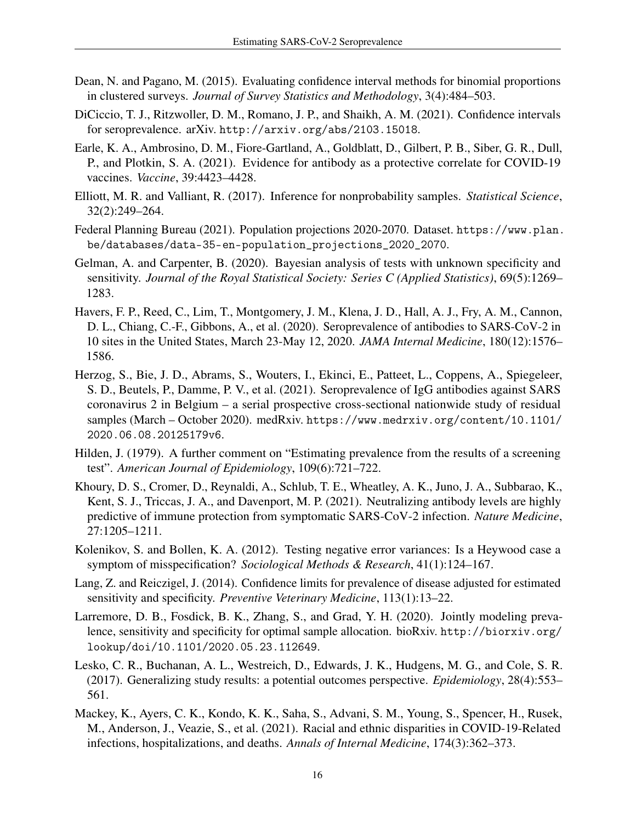- <span id="page-15-11"></span>Dean, N. and Pagano, M. (2015). Evaluating confidence interval methods for binomial proportions in clustered surveys. *Journal of Survey Statistics and Methodology*, 3(4):484–503.
- <span id="page-15-13"></span>DiCiccio, T. J., Ritzwoller, D. M., Romano, J. P., and Shaikh, A. M. (2021). Confidence intervals for seroprevalence. arXiv. <http://arxiv.org/abs/2103.15018>.
- <span id="page-15-0"></span>Earle, K. A., Ambrosino, D. M., Fiore-Gartland, A., Goldblatt, D., Gilbert, P. B., Siber, G. R., Dull, P., and Plotkin, S. A. (2021). Evidence for antibody as a protective correlate for COVID-19 vaccines. *Vaccine*, 39:4423–4428.
- <span id="page-15-2"></span>Elliott, M. R. and Valliant, R. (2017). Inference for nonprobability samples. *Statistical Science*, 32(2):249–264.
- <span id="page-15-9"></span>Federal Planning Bureau (2021). Population projections 2020-2070. Dataset. [https://www.plan.](https://www.plan.be/databases/data-35-en-population_projections_2020_2070) [be/databases/data-35-en-population\\_projections\\_2020\\_2070](https://www.plan.be/databases/data-35-en-population_projections_2020_2070).
- <span id="page-15-12"></span>Gelman, A. and Carpenter, B. (2020). Bayesian analysis of tests with unknown specificity and sensitivity. *Journal of the Royal Statistical Society: Series C (Applied Statistics)*, 69(5):1269– 1283.
- <span id="page-15-5"></span>Havers, F. P., Reed, C., Lim, T., Montgomery, J. M., Klena, J. D., Hall, A. J., Fry, A. M., Cannon, D. L., Chiang, C.-F., Gibbons, A., et al. (2020). Seroprevalence of antibodies to SARS-CoV-2 in 10 sites in the United States, March 23-May 12, 2020. *JAMA Internal Medicine*, 180(12):1576– 1586.
- <span id="page-15-8"></span>Herzog, S., Bie, J. D., Abrams, S., Wouters, I., Ekinci, E., Patteet, L., Coppens, A., Spiegeleer, S. D., Beutels, P., Damme, P. V., et al. (2021). Seroprevalence of IgG antibodies against SARS coronavirus 2 in Belgium – a serial prospective cross-sectional nationwide study of residual samples (March – October 2020). medRxiv. [https://www.medrxiv.org/content/10.1101/](https://www.medrxiv.org/content/10.1101/2020.06.08.20125179v6) [2020.06.08.20125179v6](https://www.medrxiv.org/content/10.1101/2020.06.08.20125179v6).
- <span id="page-15-4"></span>Hilden, J. (1979). A further comment on "Estimating prevalence from the results of a screening test". *American Journal of Epidemiology*, 109(6):721–722.
- <span id="page-15-1"></span>Khoury, D. S., Cromer, D., Reynaldi, A., Schlub, T. E., Wheatley, A. K., Juno, J. A., Subbarao, K., Kent, S. J., Triccas, J. A., and Davenport, M. P. (2021). Neutralizing antibody levels are highly predictive of immune protection from symptomatic SARS-CoV-2 infection. *Nature Medicine*, 27:1205–1211.
- <span id="page-15-7"></span>Kolenikov, S. and Bollen, K. A. (2012). Testing negative error variances: Is a Heywood case a symptom of misspecification? *Sociological Methods & Research*, 41(1):124–167.
- <span id="page-15-6"></span>Lang, Z. and Reiczigel, J. (2014). Confidence limits for prevalence of disease adjusted for estimated sensitivity and specificity. *Preventive Veterinary Medicine*, 113(1):13–22.
- <span id="page-15-3"></span>Larremore, D. B., Fosdick, B. K., Zhang, S., and Grad, Y. H. (2020). Jointly modeling prevalence, sensitivity and specificity for optimal sample allocation. bioRxiv. [http://biorxiv.org/](http://biorxiv.org/lookup/doi/10.1101/2020.05.23.112649) [lookup/doi/10.1101/2020.05.23.112649](http://biorxiv.org/lookup/doi/10.1101/2020.05.23.112649).
- <span id="page-15-14"></span>Lesko, C. R., Buchanan, A. L., Westreich, D., Edwards, J. K., Hudgens, M. G., and Cole, S. R. (2017). Generalizing study results: a potential outcomes perspective. *Epidemiology*, 28(4):553– 561.
- <span id="page-15-10"></span>Mackey, K., Ayers, C. K., Kondo, K. K., Saha, S., Advani, S. M., Young, S., Spencer, H., Rusek, M., Anderson, J., Veazie, S., et al. (2021). Racial and ethnic disparities in COVID-19-Related infections, hospitalizations, and deaths. *Annals of Internal Medicine*, 174(3):362–373.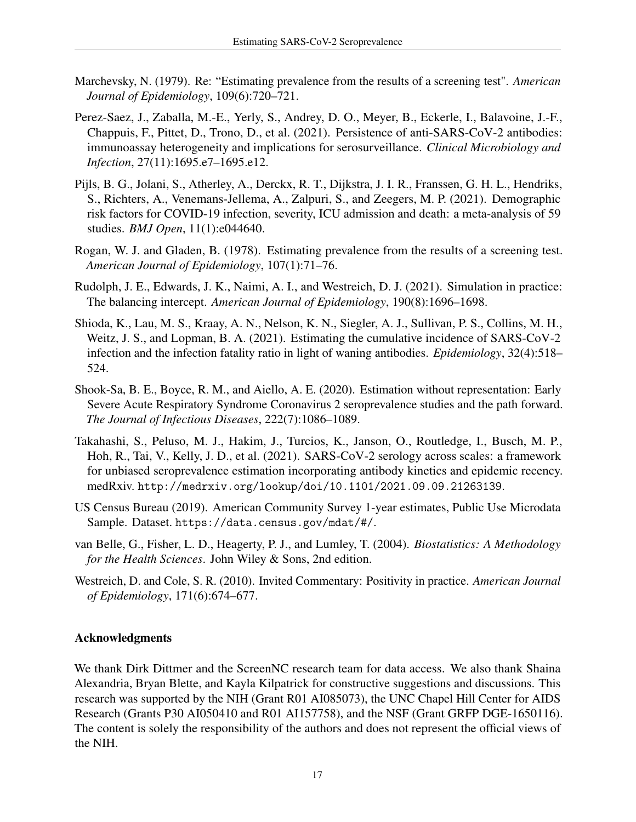- <span id="page-16-4"></span>Marchevsky, N. (1979). Re: "Estimating prevalence from the results of a screening test". *American Journal of Epidemiology*, 109(6):720–721.
- <span id="page-16-2"></span>Perez-Saez, J., Zaballa, M.-E., Yerly, S., Andrey, D. O., Meyer, B., Eckerle, I., Balavoine, J.-F., Chappuis, F., Pittet, D., Trono, D., et al. (2021). Persistence of anti-SARS-CoV-2 antibodies: immunoassay heterogeneity and implications for serosurveillance. *Clinical Microbiology and Infection*, 27(11):1695.e7–1695.e12.
- <span id="page-16-9"></span>Pijls, B. G., Jolani, S., Atherley, A., Derckx, R. T., Dijkstra, J. I. R., Franssen, G. H. L., Hendriks, S., Richters, A., Venemans-Jellema, A., Zalpuri, S., and Zeegers, M. P. (2021). Demographic risk factors for COVID-19 infection, severity, ICU admission and death: a meta-analysis of 59 studies. *BMJ Open*, 11(1):e044640.
- <span id="page-16-3"></span>Rogan, W. J. and Gladen, B. (1978). Estimating prevalence from the results of a screening test. *American Journal of Epidemiology*, 107(1):71–76.
- <span id="page-16-8"></span>Rudolph, J. E., Edwards, J. K., Naimi, A. I., and Westreich, D. J. (2021). Simulation in practice: The balancing intercept. *American Journal of Epidemiology*, 190(8):1696–1698.
- <span id="page-16-1"></span>Shioda, K., Lau, M. S., Kraay, A. N., Nelson, K. N., Siegler, A. J., Sullivan, P. S., Collins, M. H., Weitz, J. S., and Lopman, B. A. (2021). Estimating the cumulative incidence of SARS-CoV-2 infection and the infection fatality ratio in light of waning antibodies. *Epidemiology*, 32(4):518– 524.
- <span id="page-16-5"></span>Shook-Sa, B. E., Boyce, R. M., and Aiello, A. E. (2020). Estimation without representation: Early Severe Acute Respiratory Syndrome Coronavirus 2 seroprevalence studies and the path forward. *The Journal of Infectious Diseases*, 222(7):1086–1089.
- <span id="page-16-0"></span>Takahashi, S., Peluso, M. J., Hakim, J., Turcios, K., Janson, O., Routledge, I., Busch, M. P., Hoh, R., Tai, V., Kelly, J. D., et al. (2021). SARS-CoV-2 serology across scales: a framework for unbiased seroprevalence estimation incorporating antibody kinetics and epidemic recency. medRxiv. <http://medrxiv.org/lookup/doi/10.1101/2021.09.09.21263139>.
- <span id="page-16-10"></span>US Census Bureau (2019). American Community Survey 1-year estimates, Public Use Microdata Sample. Dataset. <https://data.census.gov/mdat/#/>.
- <span id="page-16-6"></span>van Belle, G., Fisher, L. D., Heagerty, P. J., and Lumley, T. (2004). *Biostatistics: A Methodology for the Health Sciences*. John Wiley & Sons, 2nd edition.
- <span id="page-16-7"></span>Westreich, D. and Cole, S. R. (2010). Invited Commentary: Positivity in practice. *American Journal of Epidemiology*, 171(6):674–677.

## Acknowledgments

We thank Dirk Dittmer and the ScreenNC research team for data access. We also thank Shaina Alexandria, Bryan Blette, and Kayla Kilpatrick for constructive suggestions and discussions. This research was supported by the NIH (Grant R01 AI085073), the UNC Chapel Hill Center for AIDS Research (Grants P30 AI050410 and R01 AI157758), and the NSF (Grant GRFP DGE-1650116). The content is solely the responsibility of the authors and does not represent the official views of the NIH.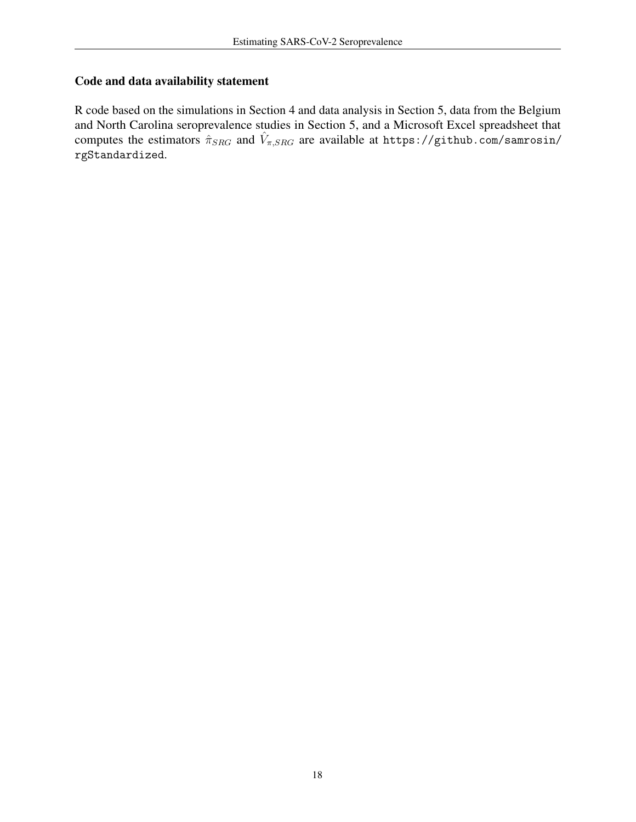# Code and data availability statement

R code based on the simulations in Section [4](#page-5-0) and data analysis in Section [5,](#page-9-0) data from the Belgium and North Carolina seroprevalence studies in Section [5,](#page-9-0) and a Microsoft Excel spreadsheet that computes the estimators  $\hat{\pi}_{SRG}$  and  $\hat{V}_{\pi,SRG}$  are available at [https://github.com/samrosin/](https://github.com/samrosin/rgStandardized) [rgStandardized](https://github.com/samrosin/rgStandardized).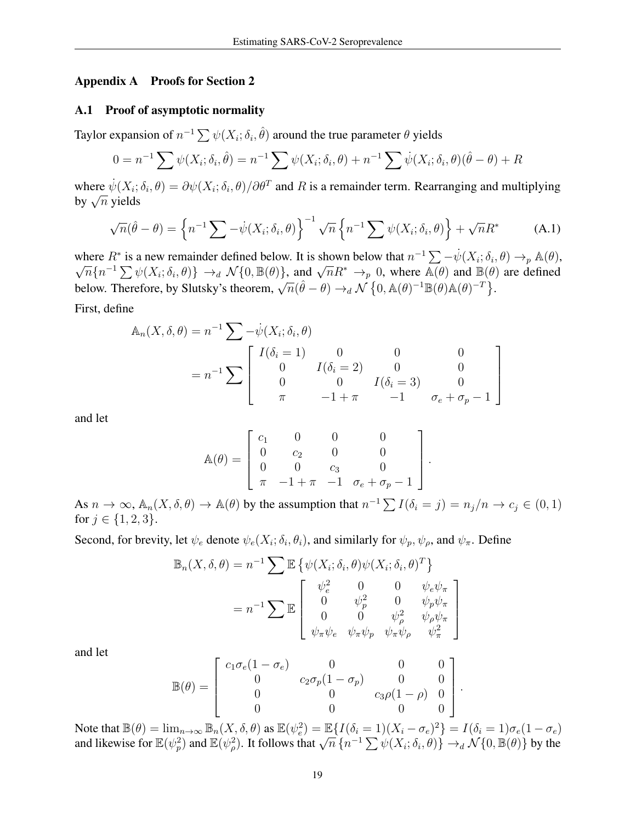#### <span id="page-18-0"></span>Appendix A Proofs for Section 2

#### <span id="page-18-2"></span>A.1 Proof of asymptotic normality

Taylor expansion of  $n^{-1} \sum \psi(X_i; \delta_i, \hat{\theta})$  around the true parameter  $\theta$  yields

$$
0 = n^{-1} \sum \psi(X_i; \delta_i, \hat{\theta}) = n^{-1} \sum \psi(X_i; \delta_i, \theta) + n^{-1} \sum \psi(X_i; \delta_i, \theta) (\hat{\theta} - \theta) + R
$$

where  $\dot{\psi}(X_i;\delta_i,\theta) = \partial \psi(X_i;\delta_i,\theta)/\partial \theta^T$  and R is a remainder term. Rearranging and multiplying where  $\psi(\Lambda_i)$ <br>by  $\sqrt{n}$  yields

<span id="page-18-1"></span>
$$
\sqrt{n}(\hat{\theta} - \theta) = \left\{ n^{-1} \sum -\dot{\psi}(X_i; \delta_i, \theta) \right\}^{-1} \sqrt{n} \left\{ n^{-1} \sum \psi(X_i; \delta_i, \theta) \right\} + \sqrt{n} R^*
$$
 (A.1)

where  $R^*$  is a new remainder defined below. It is shown below that  $n^{-1} \sum_{\lambda} - \psi(X_i; \delta_i, \theta) \to_p \mathbb{A}(\theta)$ ,  $\overline{n}\{n^{-1}\sum \psi(X_i;\delta_i,\theta)\}\rightarrow_d \mathcal{N}\{0,\mathbb{B}(\theta)\}\$ , and  $\sqrt{n}R^*\rightarrow_p 0$ , where  $\mathbb{A}(\theta)$  and  $\mathbb{B}(\theta)$  are defined below. Therefore, by Slutsky's theorem,  $\sqrt{n}(\hat{\theta} - \theta) \rightarrow_d N \{0, \mathbb{A}(\theta)^{-1} \mathbb{B}(\theta) \mathbb{A}(\theta)^{-T}\}.$ 

First, define

$$
\mathbb{A}_n(X, \delta, \theta) = n^{-1} \sum -\psi(X_i; \delta_i, \theta)
$$
  
=  $n^{-1} \sum \begin{bmatrix} I(\delta_i = 1) & 0 & 0 & 0 \\ 0 & I(\delta_i = 2) & 0 & 0 \\ 0 & 0 & I(\delta_i = 3) & 0 \\ \pi & -1 + \pi & -1 & \sigma_e + \sigma_p - 1 \end{bmatrix}$ 

and let

$$
\mathbb{A}(\theta) = \begin{bmatrix} c_1 & 0 & 0 & 0 \\ 0 & c_2 & 0 & 0 \\ 0 & 0 & c_3 & 0 \\ \pi & -1 + \pi & -1 & \sigma_e + \sigma_p - 1 \end{bmatrix}.
$$

As  $n \to \infty$ ,  $\mathbb{A}_n(X, \delta, \theta) \to \mathbb{A}(\theta)$  by the assumption that  $n^{-1} \sum I(\delta_i = j) = n_j/n \to c_j \in (0, 1)$ for  $j \in \{1, 2, 3\}$ .

Second, for brevity, let  $\psi_e$  denote  $\psi_e(X_i; \delta_i, \theta_i)$ , and similarly for  $\psi_p, \psi_\rho$ , and  $\psi_\pi$ . Define

$$
\mathbb{B}_n(X, \delta, \theta) = n^{-1} \sum \mathbb{E} \left\{ \psi(X_i; \delta_i, \theta) \psi(X_i; \delta_i, \theta)^T \right\}
$$

$$
= n^{-1} \sum \mathbb{E} \begin{bmatrix} \psi_e^2 & 0 & 0 & \psi_e \psi_\pi \\ 0 & \psi_p^2 & 0 & \psi_p \psi_\pi \\ 0 & 0 & \psi_\rho^2 & \psi_\rho \psi_\pi \\ \psi_\pi \psi_e & \psi_\pi \psi_p & \psi_\pi \psi_\rho & \psi_\pi^2 \end{bmatrix}
$$

1

 $\overline{1}$  $\mathbf{I}$  $\frac{1}{2}$ 

.

and let

$$
\mathbb{B}(\theta) = \begin{bmatrix} c_1 \sigma_e (1 - \sigma_e) & 0 & 0 & 0 \\ 0 & c_2 \sigma_p (1 - \sigma_p) & 0 & 0 \\ 0 & 0 & c_3 \rho (1 - \rho) & 0 \\ 0 & 0 & 0 & 0 \end{bmatrix}
$$

Note that  $\mathbb{B}(\theta) = \lim_{n \to \infty} \mathbb{B}_n(X, \delta, \theta)$  as  $\mathbb{E}(\psi_e^2) = \mathbb{E}\left\{I(\delta_i = 1)(X_i - \sigma_e)^2\right\} = I(\delta_i = 1)\sigma_e(1 - \sigma_e)$ Frole that  $\mathbb{D}(\theta) = \min_{n \to \infty} \mathbb{D}_n(\Lambda, 0, \theta)$  as  $\mathbb{E}(\psi_e) = \mathbb{E}\{I(\theta_i = 1)(\Lambda_i - \theta_e)\} = I(\theta_i = 1)\theta_e (1 - \theta_e)$ <br>and likewise for  $\mathbb{E}(\psi_p^2)$  and  $\mathbb{E}(\psi_p^2)$ . It follows that  $\sqrt{n} \{n^{-1} \sum \psi(X_i; \delta_i, \theta)\} \to_d \mathcal{N} \{0, \mathbb{B$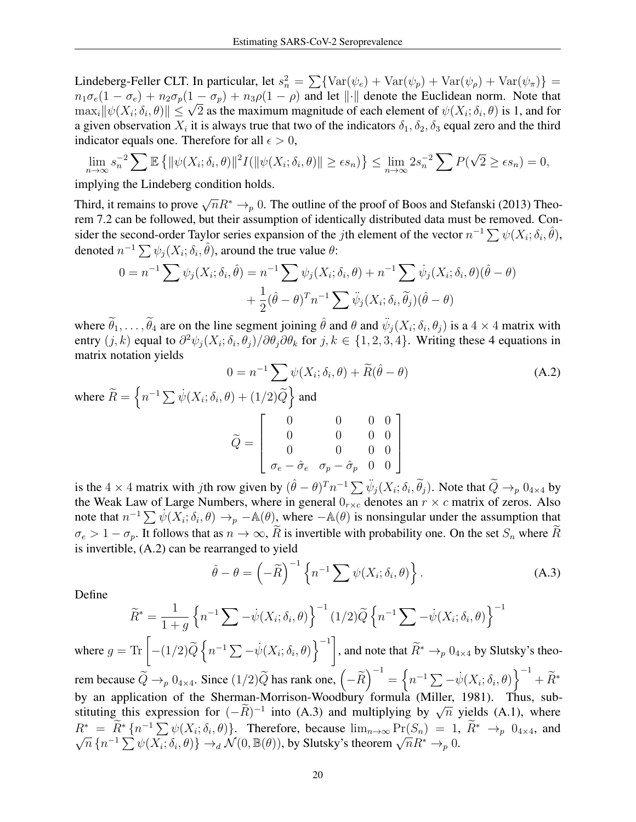Lindeberg-Feller CLT. In particular, let  $s_n^2 = \sum \{ \text{Var}(\psi_e) + \text{Var}(\psi_p) + \text{Var}(\psi_\rho) + \text{Var}(\psi_\pi) \} =$  $n_1\sigma_e(1-\sigma_e)+n_2\sigma_p(1-\sigma_p)+n_3\rho(1-\rho)$  and let  $\|\cdot\|$  denote the Euclidean norm. Note that  $m_1\sigma_e(1-\sigma_e) + m_2\sigma_p(1-\sigma_p) + m_3\rho(1-\rho)$  and let  $||\cdot||$  denote the Euclidean norm. Note that  $\max_i ||\psi(X_i; \delta_i, \theta)|| \leq \sqrt{2}$  as the maximum magnitude of each element of  $\psi(X_i; \delta_i, \theta)$  is 1, and for a given observation  $X_i$  it is always true that two of the indicators  $\delta_1, \delta_2, \delta_3$  equal zero and the third indicator equals one. Therefore for all  $\epsilon > 0$ ,

$$
\lim_{n\to\infty} s_n^{-2} \sum \mathbb{E} \left\{ ||\psi(X_i;\delta_i,\theta)||^2 I(||\psi(X_i;\delta_i,\theta)|| \geq \epsilon s_n) \right\} \leq \lim_{n\to\infty} 2s_n^{-2} \sum P(\sqrt{2} \geq \epsilon s_n) = 0,
$$

implying the Lindeberg condition holds.

Third, it remains to prove  $\sqrt{n}R^* \to_p 0$ . The outline of the proof of Boos and Stefanski (2013) Theorem 7.2 can be followed, but their assumption of identically distributed data must be removed. Consider the second-order Taylor series expansion of the jth element of the vector  $n^{-1} \sum \psi(X_i; \delta_i, \hat{\theta})$ , denoted  $n^{-1} \sum \psi_j(X_i; \delta_i, \hat{\theta})$ , around the true value  $\theta$ :

<span id="page-19-0"></span>
$$
0 = n^{-1} \sum \psi_j(X_i; \delta_i, \hat{\theta}) = n^{-1} \sum \psi_j(X_i; \delta_i, \theta) + n^{-1} \sum \dot{\psi}_j(X_i; \delta_i, \theta)(\hat{\theta} - \theta) + \frac{1}{2} (\hat{\theta} - \theta)^T n^{-1} \sum \ddot{\psi}_j(X_i; \delta_i, \tilde{\theta}_j)(\hat{\theta} - \theta)
$$

where  $\widetilde{\theta}_1, \ldots, \widetilde{\theta}_4$  are on the line segment joining  $\hat{\theta}$  and  $\theta$  and  $\ddot{\psi}_j(X_i; \delta_i, \theta_j)$  is a  $4 \times 4$  matrix with entry  $(j, k)$  equal to  $\partial^2 \psi_j(X_i; \delta_i, \theta_j)/\partial \theta_j \partial \theta_k$  for  $j, k \in \{1, 2, 3, 4\}$ . Writing these 4 equations in matrix notation yields

$$
0 = n^{-1} \sum \psi(X_i; \delta_i, \theta) + \widetilde{R}(\hat{\theta} - \theta)
$$
\n(A.2)

\nwhere  $\widetilde{R} = \left\{ n^{-1} \sum \psi(X_i; \delta_i, \theta) + (1/2)\widetilde{Q} \right\}$  and

\n
$$
\widetilde{Q} = \begin{bmatrix} 0 & 0 & 0 & 0 \\ 0 & 0 & 0 & 0 \\ 0 & 0 & 0 & 0 \\ \sigma_e - \hat{\sigma}_e & \sigma_p - \hat{\sigma}_p & 0 & 0 \end{bmatrix}
$$

is the  $4 \times 4$  matrix with jth row given by  $(\hat{\theta} - \theta)^T n^{-1} \sum \psi_j(X_i; \delta_i, \tilde{\theta}_j)$ . Note that  $\tilde{Q} \to_p 0_{4 \times 4}$  by the Weak Law of Large Numbers, where in general  $0_{r \times c}$  denotes an  $r \times c$  matrix of zeros. Also note that  $n^{-1} \sum \psi(X_i; \delta_i, \theta) \to_p -\mathbb{A}(\theta)$ , where  $-\mathbb{A}(\theta)$  is nonsingular under the assumption that  $\sigma_e > 1 - \sigma_p$ . It follows that as  $n \to \infty$ ,  $\widetilde{R}$  is invertible with probability one. On the set  $S_n$  where  $\widetilde{R}$ is invertible, [\(A.2\)](#page-19-0) can be rearranged to yield

<span id="page-19-1"></span>
$$
\hat{\theta} - \theta = \left( -\widetilde{R} \right)^{-1} \left\{ n^{-1} \sum \psi(X_i; \delta_i, \theta) \right\}.
$$
 (A.3)

Define

$$
\widetilde{R}^* = \frac{1}{1+g} \left\{ n^{-1} \sum -\dot{\psi}(X_i; \delta_i, \theta) \right\}^{-1} (1/2) \widetilde{Q} \left\{ n^{-1} \sum -\dot{\psi}(X_i; \delta_i, \theta) \right\}^{-1}
$$

where  $g = \text{Tr}\left[ -(1/2)\widetilde{Q}\left\{n^{-1}\sum -\dot{\psi}(X_i;\delta_i,\theta)\right\}^{-1}\right]$ , and note that  $\widetilde{R}^* \to_p 0_{4\times 4}$  by Slutsky's theorem because  $\widetilde{Q} \to_p 0_{4 \times 4}$ . Since  $(1/2)\widetilde{Q}$  has rank one,  $\left(-\widetilde{R}\right)^{-1} = \left\{n^{-1}\sum_{i} -\psi(X_i;\delta_i,\theta)\right\}^{-1} + \widetilde{R}^*$ by an application of the Sherman-Morrison-Woodbury formula (Miller, 1981). Thus, subby an application of the sherman-Morrison-Woodbury formula (Wilher, 1981). Thus, substituting this expression for  $(-\tilde{R})^{-1}$  into [\(A.3\)](#page-19-1) and multiplying by  $\sqrt{n}$  yields [\(A.1\)](#page-18-1), where  $R^* = \tilde{R}^* \{ n^{-1} \sum \psi(X_i; \delta_i, \theta) \}.$  Therefore, because  $\lim_{n \to \infty} \Pr(S_n) = 1$ ,  $\tilde{R}^* \to_p 0_{4 \times 4}$ , and  $\overline{n} = n \left\{ n \ge \psi(X_i; \delta_i, \theta) \right\}.$  Therefore, because  $\lim_{n \to \infty} \Gamma(\delta_n) = 1,$ <br>  $\overline{n} \left\{ n^{-1} \sum \psi(X_i; \delta_i, \theta) \right\} \rightarrow_d \mathcal{N}(0, \mathbb{B}(\theta)),$  by Slutsky's theorem  $\sqrt{n} R^* \rightarrow_p 0.$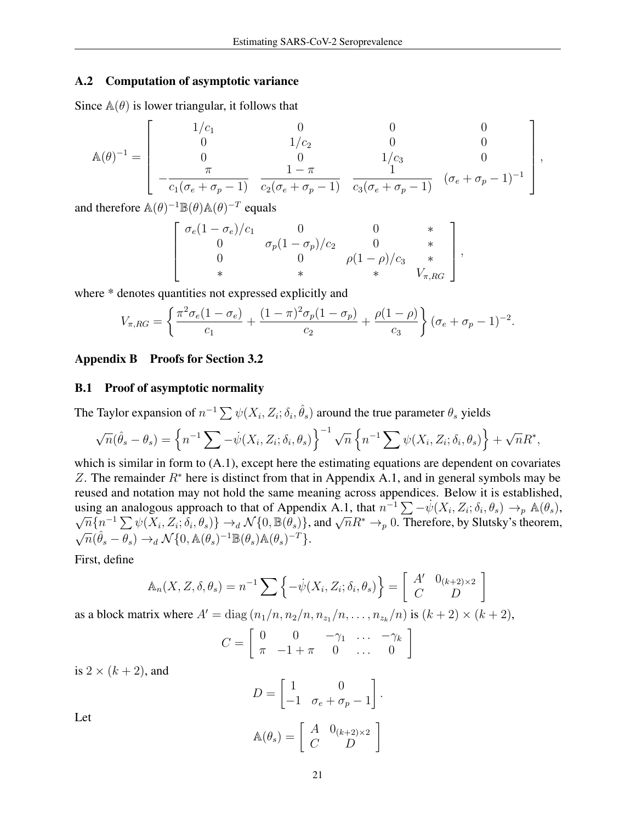#### A.2 Computation of asymptotic variance

Since  $\mathbb{A}(\theta)$  is lower triangular, it follows that

$$
\mathbb{A}(\theta)^{-1} = \begin{bmatrix} 1/c_1 & 0 & 0 & 0 \\ 0 & 1/c_2 & 0 & 0 \\ 0 & 0 & 1/c_3 & 0 \\ -\frac{\pi}{c_1(\sigma_e + \sigma_p - 1)} & \frac{1 - \pi}{c_2(\sigma_e + \sigma_p - 1)} & \frac{1}{c_3(\sigma_e + \sigma_p - 1)} & (\sigma_e + \sigma_p - 1)^{-1} \end{bmatrix},
$$

and therefore  $\mathbb{A}(\theta)^{-1} \mathbb{B}(\theta) \mathbb{A}(\theta)^{-T}$  equals

$$
\begin{bmatrix}\n\sigma_e (1 - \sigma_e)/c_1 & 0 & 0 & * \\
0 & \sigma_p (1 - \sigma_p)/c_2 & 0 & * \\
0 & 0 & \rho (1 - \rho)/c_3 & * \\
& * & * & * & V_{\pi, RG}\n\end{bmatrix},
$$

where  $*$  denotes quantities not expressed explicitly and

$$
V_{\pi, RG} = \left\{ \frac{\pi^2 \sigma_e (1 - \sigma_e)}{c_1} + \frac{(1 - \pi)^2 \sigma_p (1 - \sigma_p)}{c_2} + \frac{\rho (1 - \rho)}{c_3} \right\} (\sigma_e + \sigma_p - 1)^{-2}.
$$

#### <span id="page-20-0"></span>Appendix B Proofs for Section 3.2

#### <span id="page-20-1"></span>B.1 Proof of asymptotic normality

The Taylor expansion of  $n^{-1} \sum \psi(X_i, Z_i; \delta_i, \hat{\theta}_s)$  around the true parameter  $\theta_s$  yields

$$
\sqrt{n}(\hat{\theta}_s - \theta_s) = \left\{ n^{-1} \sum -\dot{\psi}(X_i, Z_i; \delta_i, \theta_s) \right\}^{-1} \sqrt{n} \left\{ n^{-1} \sum \psi(X_i, Z_i; \delta_i, \theta_s) \right\} + \sqrt{n} R^*,
$$

which is similar in form to  $(A.1)$ , except here the estimating equations are dependent on covariates Z. The remainder  $R^*$  here is distinct from that in Appendix [A.1,](#page-18-2) and in general symbols may be reused and notation may not hold the same meaning across appendices. Below it is established, using an analogous approach to that of Appendix [A.1,](#page-18-2) that  $n^{-1} \sum_{i} - \psi(X_i, Z_i; \delta_i, \theta_s) \rightarrow_p \mathbb{A}(\theta_s)$ , ing an analogous approach to that of Appendix A.1, that  $n \sum_{i} -\psi(\Lambda_i, \Sigma_i; o_i, \sigma_s) \rightarrow_p \mathbb{A}(\sigma_s)$ ,<br> $\overline{n}\{n^{-1}\sum_{i} \psi(X_i, Z_i; \delta_i, \theta_s)\} \rightarrow_d \mathcal{N}\{0, \mathbb{B}(\theta_s)\}$ , and  $\sqrt{n}R^* \rightarrow_p 0$ . Therefore, by Slutsky's theorem,  $\mathbf{v}_{j}$  $\overline{n}(\hat{\theta}_s - \theta_s) \rightarrow_d \mathcal{N}\{0, \mathbb{A}(\theta_s)^{-1} \mathbb{B}(\theta_s) \mathbb{A}(\theta_s)^{-T}\}.$ 

First, define

$$
\mathbb{A}_n(X, Z, \delta, \theta_s) = n^{-1} \sum \left\{ -\dot{\psi}(X_i, Z_i; \delta_i, \theta_s) \right\} = \begin{bmatrix} A' & 0_{(k+2) \times 2} \\ C & D \end{bmatrix}
$$

as a block matrix where  $A' = \text{diag}(n_1/n, n_2/n, n_{z_1}/n, \dots, n_{z_k}/n)$  is  $(k+2) \times (k+2)$ ,

$$
C = \left[ \begin{array}{cccc} 0 & 0 & -\gamma_1 & \dots & -\gamma_k \\ \pi & -1 + \pi & 0 & \dots & 0 \end{array} \right]
$$

is  $2 \times (k+2)$ , and

$$
D = \begin{bmatrix} 1 & 0 \\ -1 & \sigma_e + \sigma_p - 1 \end{bmatrix}.
$$

$$
\mathbb{A}(\theta_s) = \begin{bmatrix} A & 0_{(k+2)\times 2} \\ C & D \end{bmatrix}
$$

Let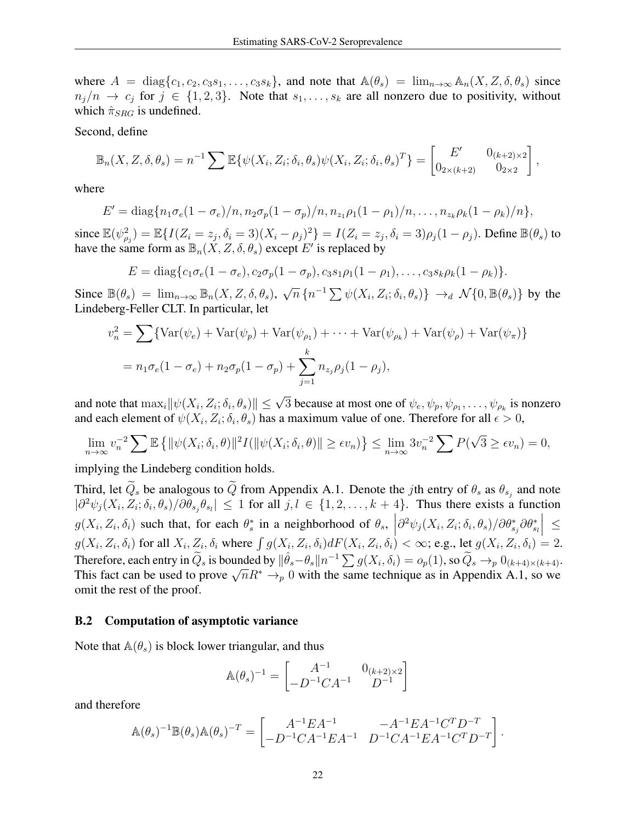where  $A = \text{diag}\{c_1, c_2, c_3s_1, \ldots, c_3s_k\}$ , and note that  $\mathbb{A}(\theta_s) = \lim_{n \to \infty} \mathbb{A}_n(X, Z, \delta, \theta_s)$  since  $n_j/n \to c_j$  for  $j \in \{1,2,3\}$ . Note that  $s_1,\ldots,s_k$  are all nonzero due to positivity, without which  $\hat{\pi}_{SRG}$  is undefined.

Second, define

$$
\mathbb{B}_n(X, Z, \delta, \theta_s) = n^{-1} \sum \mathbb{E}\{\psi(X_i, Z_i; \delta_i, \theta_s)\psi(X_i, Z_i; \delta_i, \theta_s)^T\} = \begin{bmatrix} E' & 0_{(k+2)\times 2} \\ 0_{2\times (k+2)} & 0_{2\times 2} \end{bmatrix}
$$

,

where

$$
E' = \text{diag}\{n_1\sigma_e(1-\sigma_e)/n, n_2\sigma_p(1-\sigma_p)/n, n_{z_1}\rho_1(1-\rho_1)/n, \ldots, n_{z_k}\rho_k(1-\rho_k)/n\},\
$$

since  $\mathbb{E}(\psi_{\rho_j}^2) = \mathbb{E}\{I(Z_i = z_j, \delta_i = 3)(X_i - \rho_j)^2\} = I(Z_i = z_j, \delta_i = 3)\rho_j(1 - \rho_j)$ . Define  $\mathbb{B}(\theta_s)$  to have the same form as  $\mathbb{B}_n(\check{X}, Z, \delta, \theta_s)$  except E' is replaced by

$$
E = diag\{c_1\sigma_e(1-\sigma_e), c_2\sigma_p(1-\sigma_p), c_3s_1\rho_1(1-\rho_1), \ldots, c_3s_k\rho_k(1-\rho_k)\}.
$$

Since  $\mathbb{B}(\theta_s) = \lim_{n \to \infty} \mathbb{B}_n(X, Z, \delta, \theta_s), \sqrt{\theta_s}$  $\overline{n} \{ n^{-1} \sum \psi(X_i, Z_i; \delta_i, \theta_s) \} \rightarrow_d N \{ 0, \mathbb{B}(\theta_s) \}$  by the Lindeberg-Feller CLT. In particular, let

$$
v_n^2 = \sum \{ \text{Var}(\psi_e) + \text{Var}(\psi_p) + \text{Var}(\psi_{\rho_1}) + \dots + \text{Var}(\psi_{\rho_k}) + \text{Var}(\psi_{\rho}) + \text{Var}(\psi_{\pi}) \}
$$
  
=  $n_1 \sigma_e (1 - \sigma_e) + n_2 \sigma_p (1 - \sigma_p) + \sum_{j=1}^k n_{z_j} \rho_j (1 - \rho_j),$ 

and note that  $\max_i ||\psi(X_i, Z_i; \delta_i, \theta_s)|| \leq \sqrt{3}$  because at most one of  $\psi_e, \psi_p, \psi_{\rho_1}, \dots, \psi_{\rho_k}$  is nonzero and each element of  $\psi(X_i, Z_i; \delta_i, \theta_s)$  has a maximum value of one. Therefore for all  $\epsilon > 0$ ,

$$
\lim_{n \to \infty} v_n^{-2} \sum \mathbb{E} \left\{ ||\psi(X_i; \delta_i, \theta)||^2 I(||\psi(X_i; \delta_i, \theta)|| \geq \epsilon v_n) \right\} \leq \lim_{n \to \infty} 3v_n^{-2} \sum P(\sqrt{3} \geq \epsilon v_n) = 0,
$$

implying the Lindeberg condition holds.

Third, let  $Q_s$  be analogous to  $Q$  from Appendix [A.1.](#page-18-2) Denote the *j*th entry of  $\theta_s$  as  $\theta_{s_j}$  and note  $|\partial^2 \psi_j(X_i, Z_i; \delta_i, \theta_s)/\partial \theta_{s_j} \theta_{s_l}| \leq 1$  for all  $j, l \in \{1, 2, ..., k+4\}$ . Thus there exists a function  $g(X_i, Z_i, \delta_i)$  such that, for each  $\theta_s^*$  in a neighborhood of  $\theta_s$ ,  $\partial^2 \psi_j(X_i, Z_i; \delta_i, \theta_s) / \partial \theta^*_{s_j} \partial \theta^*_{s_l}$  $\Big| \leq$  $g(X_i, Z_i, \delta_i)$  for all  $X_i, Z_i, \delta_i$  where  $\int g(X_i, Z_i, \delta_i) dF(X_i, Z_i, \delta_i) < \infty$ ; e.g., let  $g(X_i, Z_i, \delta_i) = 2$ . Therefore, each entry in  $\widetilde{Q}_s$  is bounded by  $\|\hat{\theta}_s - \theta_s\| n^{-1} \sum g(X_i, \delta_i) = o_p(1)$ , so  $\widetilde{Q}_s \to_p 0_{(k+4)\times(k+4)}$ . Therefore, each entry in  $Q_s$  is bounded by  $||\sigma_s - \sigma_s||/n \sum g(\Lambda_i, \sigma_i) = o_p(1)$ , so  $Q_s \to_p 0(k+4) \times (k+4)$ <br>This fact can be used to prove  $\sqrt{n}R^* \to_p 0$  with the same technique as in Appendix [A.1,](#page-18-2) so we omit the rest of the proof.

#### B.2 Computation of asymptotic variance

Note that  $\mathbb{A}(\theta_s)$  is block lower triangular, and thus

$$
\mathbb{A}(\theta_s)^{-1} = \begin{bmatrix} A^{-1} & 0_{(k+2)\times 2} \\ -D^{-1}CA^{-1} & D^{-1} \end{bmatrix}
$$

and therefore

$$
\mathbb{A}(\theta_s)^{-1} \mathbb{B}(\theta_s) \mathbb{A}(\theta_s)^{-T} = \begin{bmatrix} A^{-1} E A^{-1} & -A^{-1} E A^{-1} C^T D^{-T} \\ -D^{-1} C A^{-1} E A^{-1} & D^{-1} C A^{-1} E A^{-1} C^T D^{-T} \end{bmatrix}.
$$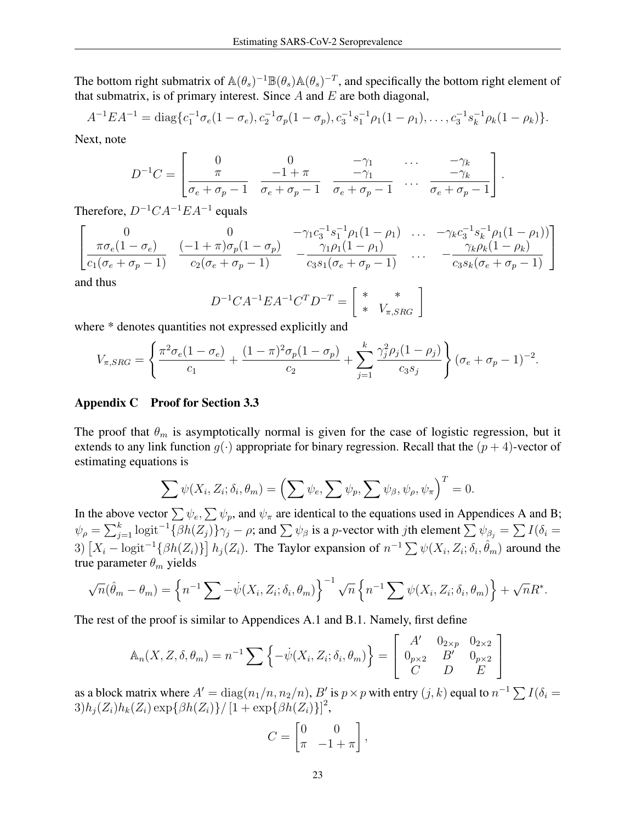The bottom right submatrix of  $\mathbb{A}(\theta_s)^{-1}\mathbb{B}(\theta_s)\mathbb{A}(\theta_s)^{-T}$ , and specifically the bottom right element of that submatrix, is of primary interest. Since  $A$  and  $E$  are both diagonal,

$$
A^{-1}EA^{-1} = \text{diag}\{c_1^{-1}\sigma_e(1-\sigma_e), c_2^{-1}\sigma_p(1-\sigma_p), c_3^{-1}s_1^{-1}\rho_1(1-\rho_1), \ldots, c_3^{-1}s_k^{-1}\rho_k(1-\rho_k)\}.
$$

Next, note

$$
D^{-1}C = \begin{bmatrix} 0 & 0 & -\gamma_1 & \cdots & -\gamma_k \\ \pi & -1 + \pi & -\gamma_1 & \cdots & -\gamma_k \\ \sigma_e + \sigma_p - 1 & \sigma_e + \sigma_p - 1 & \sigma_e + \sigma_p - 1 & \cdots & \sigma_e + \sigma_p - 1 \end{bmatrix}.
$$

Therefore,  $D^{-1}CA^{-1}EA^{-1}$  equals

$$
\begin{bmatrix}\n0 & 0 & -\gamma_1 c_3^{-1} s_1^{-1} \rho_1 (1 - \rho_1) & \dots & -\gamma_k c_3^{-1} s_k^{-1} \rho_1 (1 - \rho_1) \\
\frac{\pi \sigma_e (1 - \sigma_e)}{c_1 (\sigma_e + \sigma_p - 1)} & \frac{(-1 + \pi) \sigma_p (1 - \sigma_p)}{c_2 (\sigma_e + \sigma_p - 1)} & -\frac{\gamma_1 \rho_1 (1 - \rho_1)}{c_3 s_1 (\sigma_e + \sigma_p - 1)} & \dots & -\frac{\gamma_k \rho_k (1 - \rho_k)}{c_3 s_k (\sigma_e + \sigma_p - 1)}\n\end{bmatrix}
$$

and thus

$$
D^{-1}CA^{-1}EA^{-1}C^{T}D^{-T} = \begin{bmatrix} * & * \\ * & V_{\pi,SRG} \end{bmatrix}
$$

where \* denotes quantities not expressed explicitly and

$$
V_{\pi,SRG} = \left\{ \frac{\pi^2 \sigma_e (1 - \sigma_e)}{c_1} + \frac{(1 - \pi)^2 \sigma_p (1 - \sigma_p)}{c_2} + \sum_{j=1}^k \frac{\gamma_j^2 \rho_j (1 - \rho_j)}{c_3 s_j} \right\} (\sigma_e + \sigma_p - 1)^{-2}.
$$

#### <span id="page-22-0"></span>Appendix C Proof for Section 3.3

The proof that  $\theta_m$  is asymptotically normal is given for the case of logistic regression, but it extends to any link function  $g(\cdot)$  appropriate for binary regression. Recall that the  $(p+4)$ -vector of estimating equations is

$$
\sum \psi(X_i, Z_i; \delta_i, \theta_m) = \left(\sum \psi_e, \sum \psi_p, \sum \psi_\beta, \psi_\rho, \psi_\pi\right)^T = 0.
$$

In the above vector  $\sum \psi_e$ ,  $\sum \psi_p$ , and  $\psi_\pi$  are identical to the equations used in [A](#page-18-0)ppendices A and [B;](#page-20-0)  $\psi_{\rho} = \sum_{j=1}^{k} \text{logit}^{-1} \{\beta h(Z_j)\} \gamma_j - \rho; \text{ and } \sum \psi_{\beta}$  is a p-vector with jth element  $\sum \psi_{\beta_j} = \sum I(\delta_i = \rho)$ 3)  $[X_i - \text{logit}^{-1}{\{\beta h(Z_i)\}\}\, h_j(Z_i)$ . The Taylor expansion of  $n^{-1}\sum \psi(X_i, Z_i; \delta_i, \hat{\theta}_m)$  around the true parameter  $\theta_m$  yields

$$
\sqrt{n}(\hat{\theta}_m - \theta_m) = \left\{ n^{-1} \sum -\dot{\psi}(X_i, Z_i; \delta_i, \theta_m) \right\}^{-1} \sqrt{n} \left\{ n^{-1} \sum \psi(X_i, Z_i; \delta_i, \theta_m) \right\} + \sqrt{n} R^*.
$$

The rest of the proof is similar to Appendices [A.1](#page-18-2) and [B.1.](#page-20-1) Namely, first define

$$
\mathbb{A}_n(X, Z, \delta, \theta_m) = n^{-1} \sum \left\{ -\dot{\psi}(X_i, Z_i; \delta_i, \theta_m) \right\} = \begin{bmatrix} A' & 0_{2 \times p} & 0_{2 \times 2} \\ 0_{p \times 2} & B' & 0_{p \times 2} \\ C & D & E \end{bmatrix}
$$

as a block matrix where  $A' = diag(n_1/n, n_2/n)$ ,  $B'$  is  $p \times p$  with entry  $(j, k)$  equal to  $n^{-1} \sum I(\delta_i =$  $3)h_j(Z_i)h_k(Z_i)\exp{\{\beta h(Z_i)\}}/{\left[1+\exp\{\beta h(Z_i)\}\right]^2},$ 

$$
C = \begin{bmatrix} 0 & 0 \\ \pi & -1 + \pi \end{bmatrix},
$$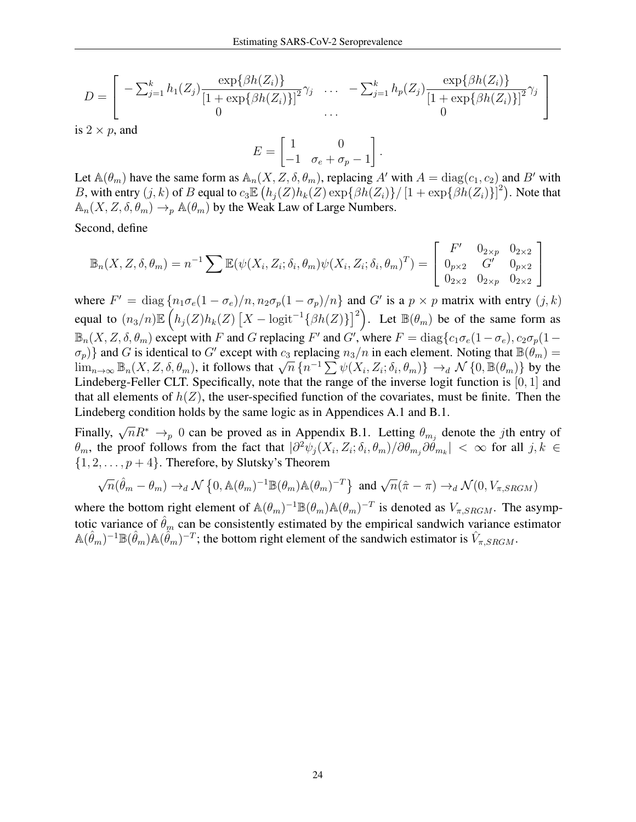$$
D = \left[ \begin{array}{ccc} -\sum_{j=1}^{k} h_1(Z_j) \frac{\exp\{\beta h(Z_i)\}}{[1 + \exp\{\beta h(Z_i)\}]^2} \gamma_j & \dots & -\sum_{j=1}^{k} h_p(Z_j) \frac{\exp\{\beta h(Z_i)\}}{[1 + \exp\{\beta h(Z_i)\}]^2} \gamma_j \\ 0 & \dots & 0 \end{array} \right]
$$

is  $2 \times p$ , and

$$
E = \begin{bmatrix} 1 & 0 \\ -1 & \sigma_e + \sigma_p - 1 \end{bmatrix}.
$$

Let  $\mathbb{A}(\theta_m)$  have the same form as  $\mathbb{A}_n(X, Z, \delta, \theta_m)$ , replacing A' with  $A = \text{diag}(c_1, c_2)$  and B' with B, with entry  $(j, k)$  of B equal to  $c_3 \mathbb{E} (h_j(Z)h_k(Z) \exp{\{\beta h(Z_i)\}} / [1 + \exp{\{\beta h(Z_i)\}}]^2)$ . Note that  $\mathbb{A}_n(X, Z, \delta, \theta_m) \to_{p} \mathbb{A}(\theta_m)$  by the Weak Law of Large Numbers.

Second, define

$$
\mathbb{B}_n(X, Z, \delta, \theta_m) = n^{-1} \sum \mathbb{E}(\psi(X_i, Z_i; \delta_i, \theta_m) \psi(X_i, Z_i; \delta_i, \theta_m)^T) = \begin{bmatrix} F' & 0_{2 \times p} & 0_{2 \times 2} \\ 0_{p \times 2} & G' & 0_{p \times 2} \\ 0_{2 \times 2} & 0_{2 \times p} & 0_{2 \times 2} \end{bmatrix}
$$

where  $F' = \text{diag} \{ n_1 \sigma_e (1 - \sigma_e) / n, n_2 \sigma_p (1 - \sigma_p) / n \}$  and G' is a  $p \times p$  matrix with entry  $(j, k)$ equal to  $(n_3/n)\mathbb{E}\left(h_j(Z)h_k(Z)\left[X-\text{logit}^{-1}\{\beta h(Z)\}\right]^2\right)$ . Let  $\mathbb{B}(\theta_m)$  be of the same form as  $\mathbb{B}_n(X, Z, \delta, \theta_m)$  except with F and G replacing F' and G', where  $F = \text{diag}\{c_1\sigma_e(1-\sigma_e), c_2\sigma_p(1-\sigma_e)\}$  $\{\sigma_p\}$  and G is identical to G' except with  $c_3$  replacing  $n_3/n$  in each element. Noting that  $\mathbb{B}(\theta_m) =$  $\lim_{n\to\infty} \mathbb{B}_n(X, Z, \delta, \theta_m)$ , it follows that  $\sqrt{n} \{n^{-1} \sum \psi(X_i, Z_i; \delta_i, \theta_m)\} \to_d \mathcal{N} \{0, \mathbb{B}(\theta_m)\}$  by the Lindeberg-Feller CLT. Specifically, note that the range of the inverse logit function is [0, 1] and that all elements of  $h(Z)$ , the user-specified function of the covariates, must be finite. Then the Lindeberg condition holds by the same logic as in Appendices [A.1](#page-18-2) and [B.1.](#page-20-1)

Finally,  $\sqrt{n}R^* \rightarrow_p 0$  can be proved as in Appendix [B.1.](#page-20-1) Letting  $\theta_{m_j}$  denote the jth entry of  $\theta_m$ , the proof follows from the fact that  $|\partial^2 \psi_j(X_i, Z_i; \delta_i, \theta_m)/\partial \theta_{m_j}\partial \dot{\theta}_{m_k}| < \infty$  for all  $j, k \in$  $\{1, 2, \ldots, p+4\}$ . Therefore, by Slutsky's Theorem

$$
\sqrt{n}(\hat{\theta}_m - \theta_m) \to_d \mathcal{N} \left\{ 0, \mathbb{A}(\theta_m)^{-1} \mathbb{B}(\theta_m) \mathbb{A}(\theta_m)^{-T} \right\} \text{ and } \sqrt{n}(\hat{\pi} - \pi) \to_d \mathcal{N}(0, V_{\pi,SRGM})
$$

where the bottom right element of  $\mathbb{A}(\theta_m)^{-1}\mathbb{B}(\theta_m)\mathbb{A}(\theta_m)^{-T}$  is denoted as  $V_{\pi,SRGM}$ . The asymptotic variance of  $\hat{\theta}_m$  can be consistently estimated by the empirical sandwich variance estimator  $\mathbb{A}(\hat{\theta}_m)^{-1} \mathbb{B}(\hat{\theta}_m) \mathbb{A}(\hat{\theta}_m)^{-T}$ ; the bottom right element of the sandwich estimator is  $\hat{V}_{\pi,SRGM}$ .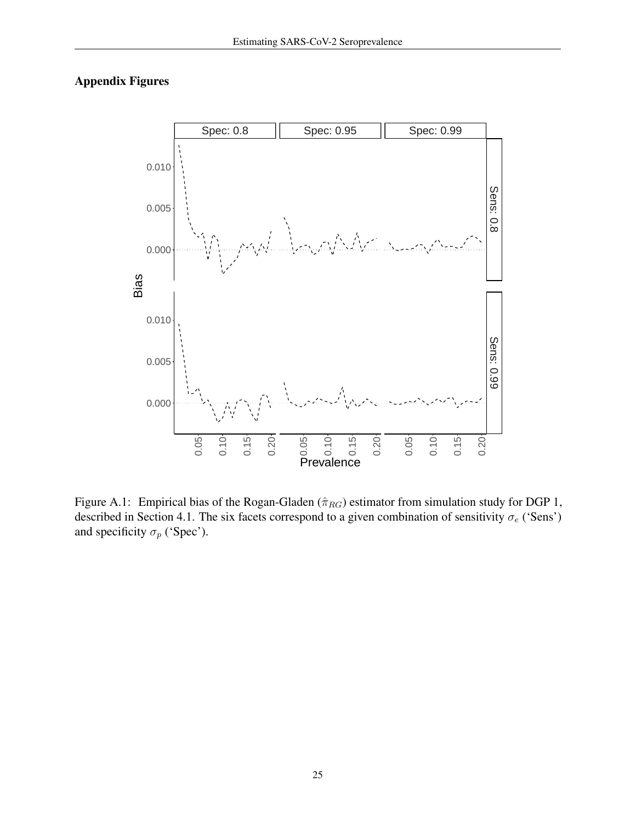# Appendix Figures



<span id="page-24-0"></span>Figure A.1: Empirical bias of the Rogan-Gladen ( $\hat{\pi}_{RG}$ ) estimator from simulation study for DGP 1, described in Section [4.1.](#page-6-0) The six facets correspond to a given combination of sensitivity  $\sigma_e$  ('Sens') and specificity  $\sigma_p$  ('Spec').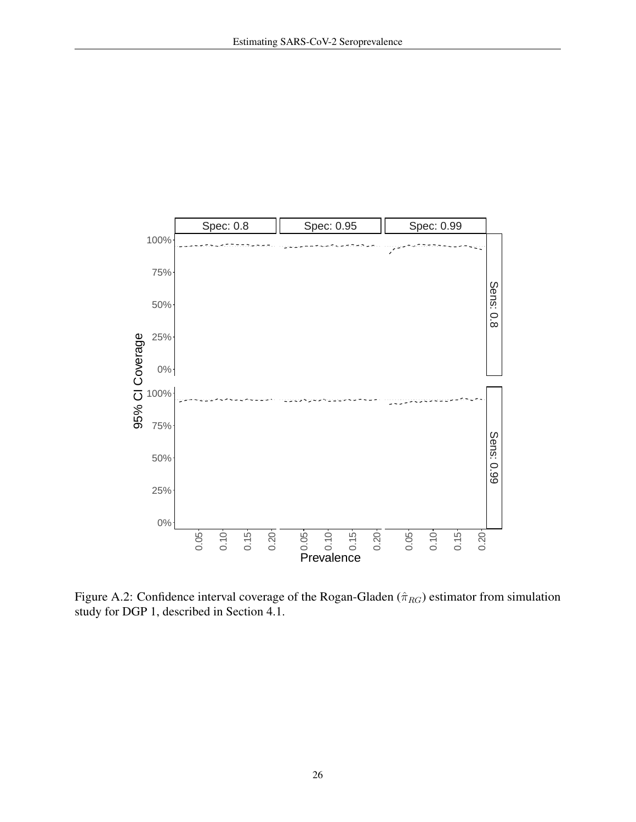

<span id="page-25-0"></span>Figure A.2: Confidence interval coverage of the Rogan-Gladen ( $\hat{\pi}_{RG}$ ) estimator from simulation study for DGP 1, described in Section [4.1.](#page-6-0)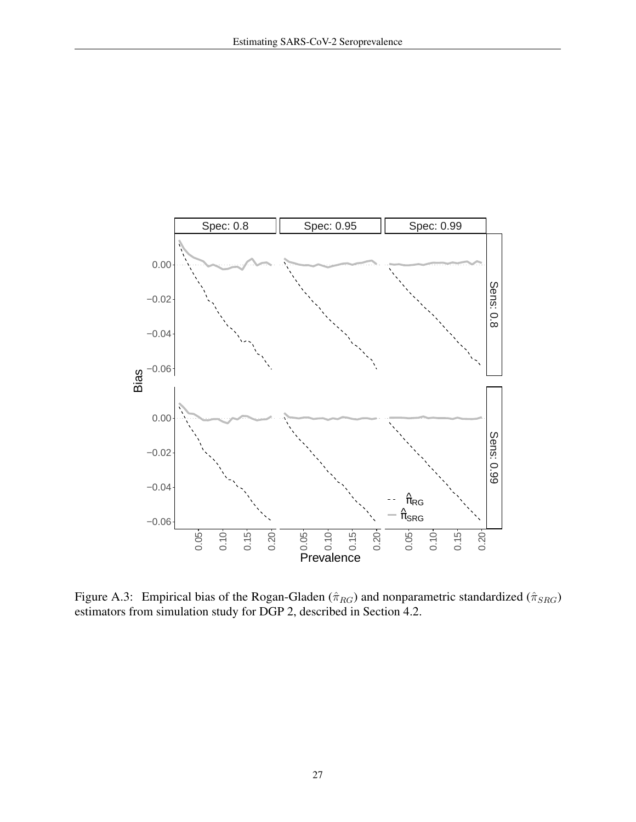

<span id="page-26-0"></span>Figure A.3: Empirical bias of the Rogan-Gladen ( $\hat{\pi}_{RG}$ ) and nonparametric standardized ( $\hat{\pi}_{SRG}$ ) estimators from simulation study for DGP 2, described in Section [4.2.](#page-6-1)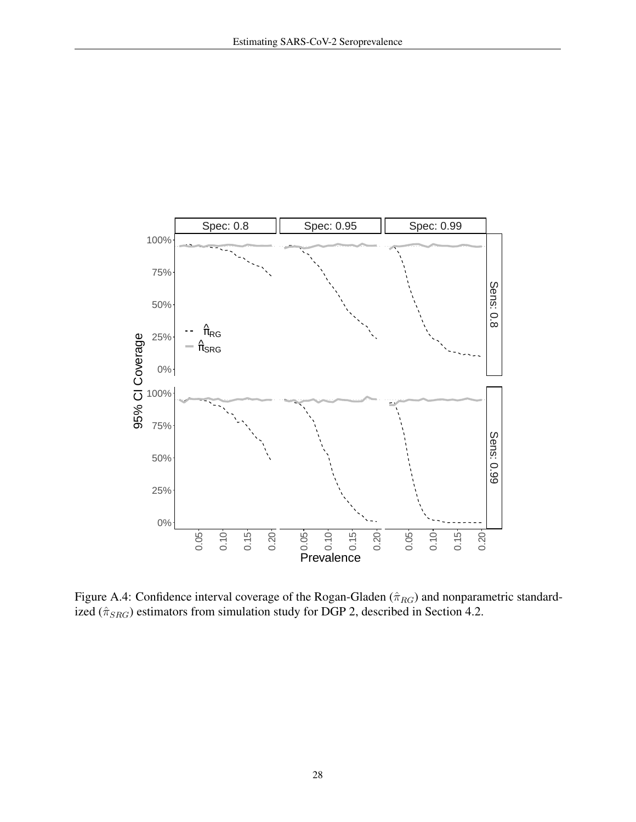

<span id="page-27-0"></span>Figure A.4: Confidence interval coverage of the Rogan-Gladen ( $\hat{\pi}_{RG}$ ) and nonparametric standardized ( $\hat{\pi}_{SRG}$ ) estimators from simulation study for DGP 2, described in Section [4.2.](#page-6-1)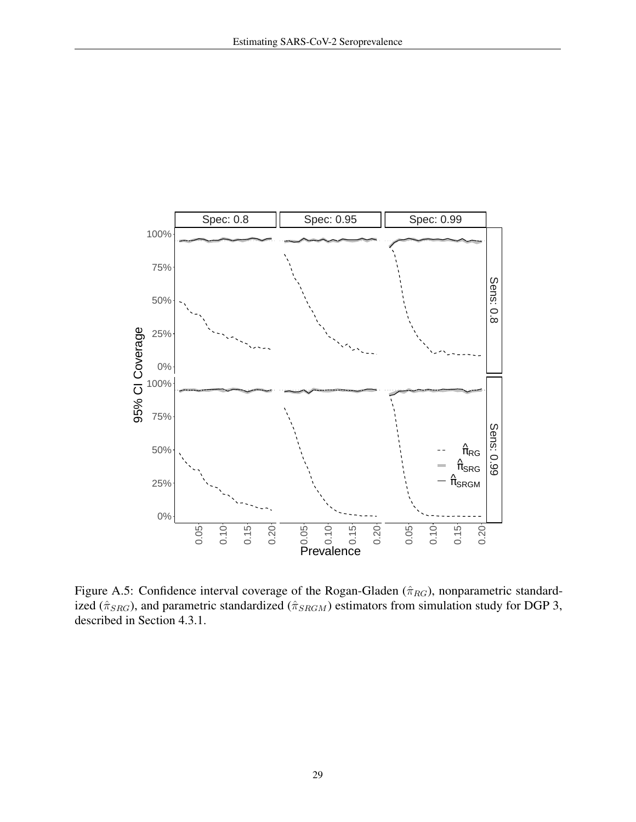

<span id="page-28-0"></span>Figure A.5: Confidence interval coverage of the Rogan-Gladen ( $\hat{\pi}_{RG}$ ), nonparametric standardized ( $\hat{\pi}_{SRG}$ ), and parametric standardized ( $\hat{\pi}_{SRGM}$ ) estimators from simulation study for DGP 3, described in Section [4.3.1.](#page-7-0)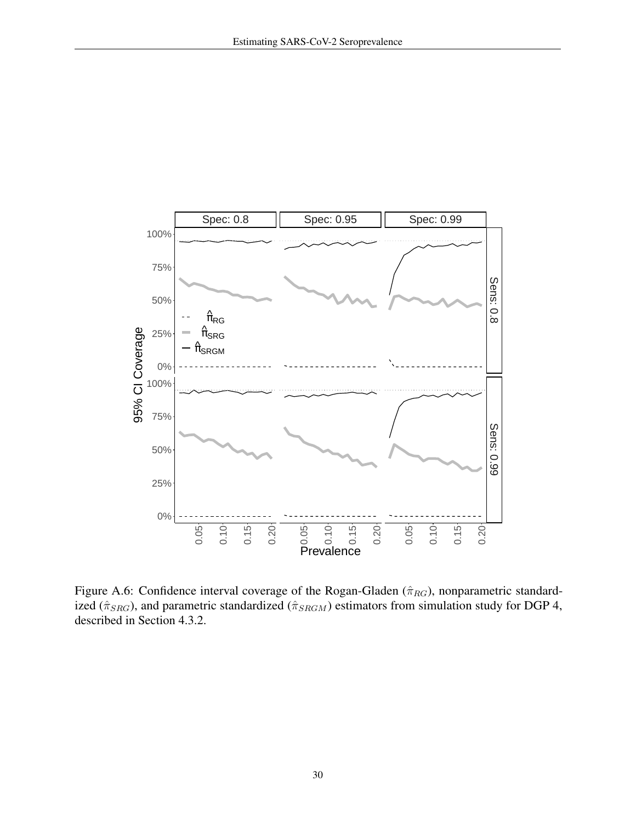

<span id="page-29-0"></span>Figure A.6: Confidence interval coverage of the Rogan-Gladen ( $\hat{\pi}_{RG}$ ), nonparametric standardized ( $\hat{\pi}_{SRG}$ ), and parametric standardized ( $\hat{\pi}_{SRGM}$ ) estimators from simulation study for DGP 4, described in Section [4.3.2.](#page-7-1)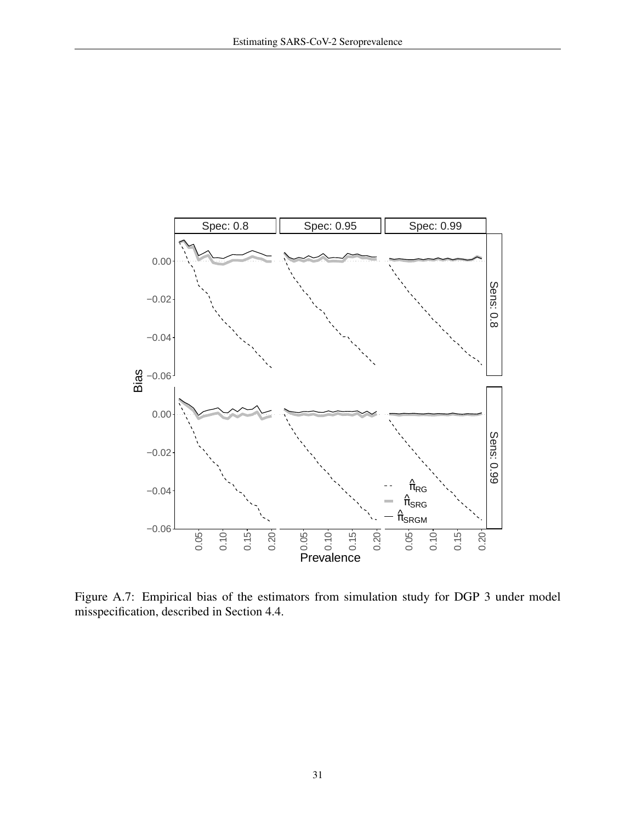

<span id="page-30-0"></span>Figure A.7: Empirical bias of the estimators from simulation study for DGP 3 under model misspecification, described in Section [4.4.](#page-8-1)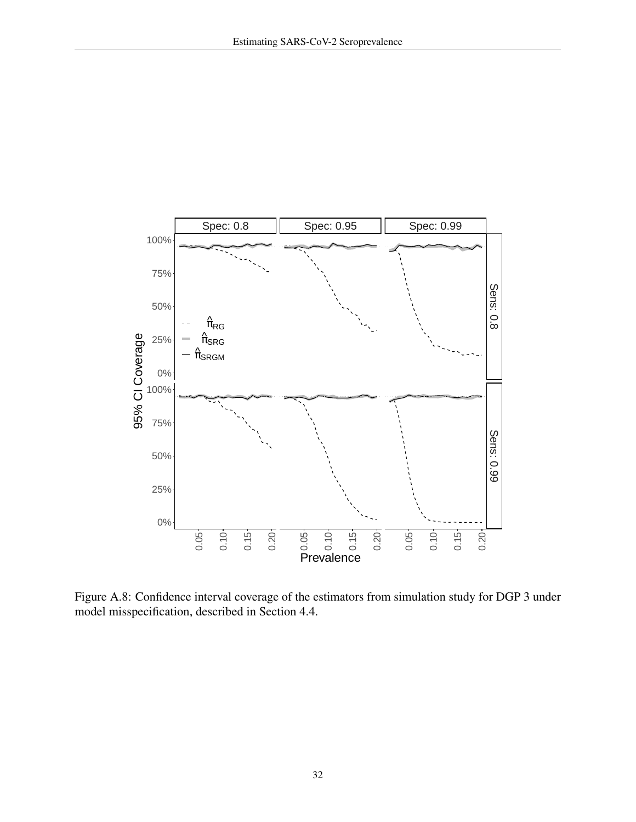

Figure A.8: Confidence interval coverage of the estimators from simulation study for DGP 3 under model misspecification, described in Section [4.4.](#page-8-1)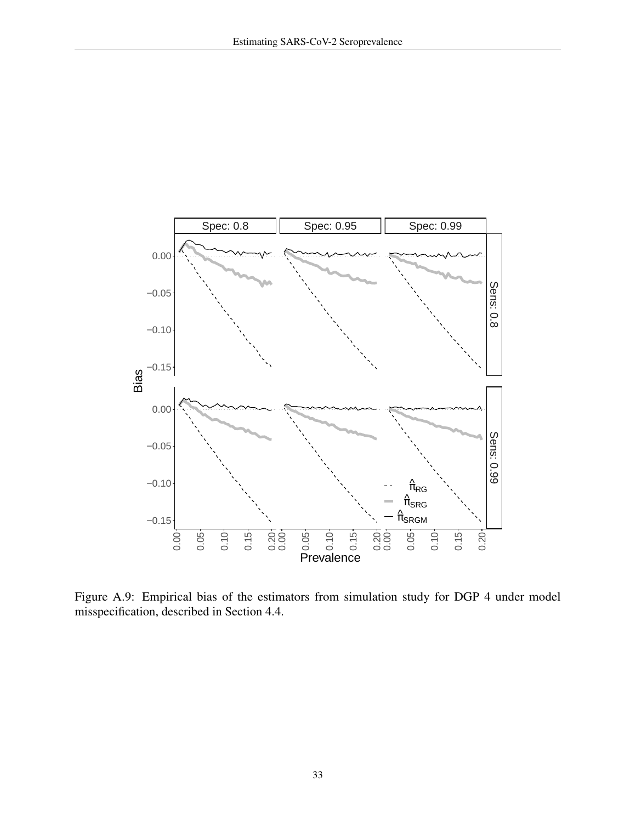

Figure A.9: Empirical bias of the estimators from simulation study for DGP 4 under model misspecification, described in Section [4.4.](#page-8-1)